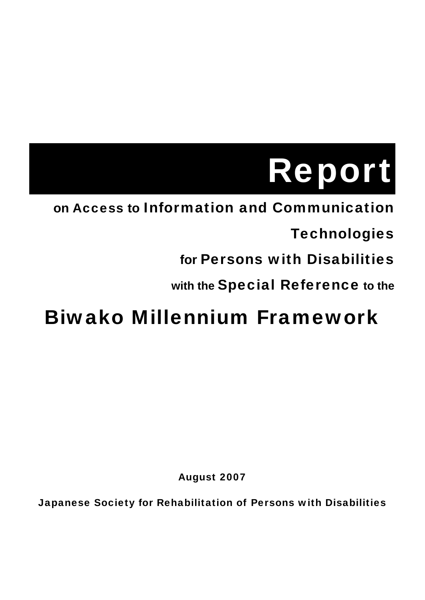# Report

# **on** Access **to** Information and Communication

# **Technologies**

# **for** Persons with Disabilities

# **with the** Special Reference **to the**

# Biwako Millennium Framework

August 2007

Japanese Society for Rehabilitation of Persons with Disabilities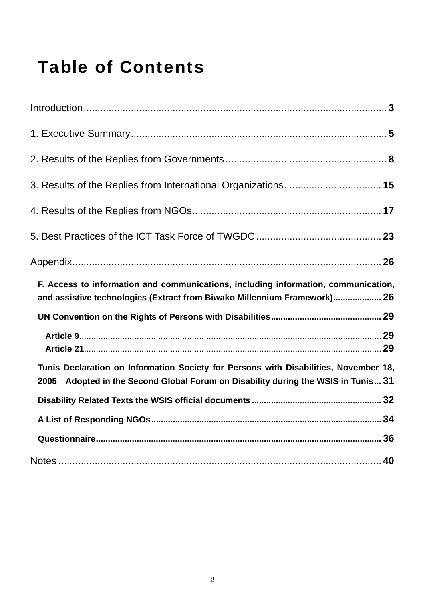# Table of Contents

| F. Access to information and communications, including information, communication,<br>and assistive technologies (Extract from Biwako Millennium Framework) 26               |  |
|------------------------------------------------------------------------------------------------------------------------------------------------------------------------------|--|
|                                                                                                                                                                              |  |
|                                                                                                                                                                              |  |
| Tunis Declaration on Information Society for Persons with Disabilities, November 18,<br>Adopted in the Second Global Forum on Disability during the WSIS in Tunis 31<br>2005 |  |
|                                                                                                                                                                              |  |
|                                                                                                                                                                              |  |
|                                                                                                                                                                              |  |
|                                                                                                                                                                              |  |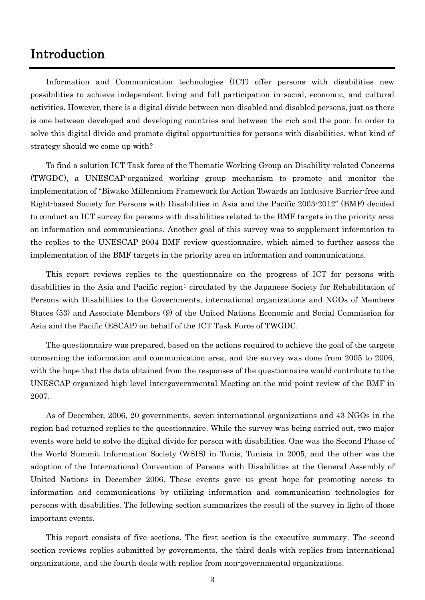### <span id="page-2-0"></span>Introduction

Information and Communication technologies (ICT) offer persons with disabilities new possibilities to achieve independent living and full participation in social, economic, and cultural activities. However, there is a digital divide between non-disabled and disabled persons, just as there is one between developed and developing countries and between the rich and the poor. In order to solve this digital divide and promote digital opportunities for persons with disabilities, what kind of strategy should we come up with?

To find a solution ICT Task force of the Thematic Working Group on Disability-related Concerns (TWGDC), a UNESCAP-organized working group mechanism to promote and monitor the implementation of "Biwako Millennium Framework for Action Towards an Inclusive Barrier-free and Right-based Society for Persons with Disabilities in Asia and the Pacific 2003-2012" (BMF) decided to conduct an ICT survey for persons with disabilities related to the BMF targets in the priority area on information and communications. Another goal of this survey was to supplement information to the replies to the UNESCAP 2004 BMF review questionnaire, which aimed to further assess the implementation of the BMF targets in the priority area on information and communications.

This report reviews replies to the questionnaire on the progress of ICT for persons with disabilities in the Asia and Pacific region<sup>[1](#page-39-0)</sup> circulated by the Japanese Society for Rehabilitation of Persons with Disabilities to the Governments, international organizations and NGOs of Members States (53) and Associate Members (9) of the United Nations Economic and Social Commission for Asia and the Pacific (ESCAP) on behalf of the ICT Task Force of TWGDC.

The questionnaire was prepared, based on the actions required to achieve the goal of the targets concerning the information and communication area, and the survey was done from 2005 to 2006, with the hope that the data obtained from the responses of the questionnaire would contribute to the UNESCAP-organized high-level intergovernmental Meeting on the mid-point review of the BMF in 2007.

As of December, 2006, 20 governments, seven international organizations and 43 NGOs in the region had returned replies to the questionnaire. While the survey was being carried out, two major events were held to solve the digital divide for person with disabilities. One was the Second Phase of the World Summit Information Society (WSIS) in Tunis, Tunisia in 2005, and the other was the adoption of the International Convention of Persons with Disabilities at the General Assembly of United Nations in December 2006. These events gave us great hope for promoting access to information and communications by utilizing information and communication technologies for persons with disabilities. The following section summarizes the result of the survey in light of those important events.

This report consists of five sections. The first section is the executive summary. The second section reviews replies submitted by governments, the third deals with replies from international organizations, and the fourth deals with replies from non-governmental organizations.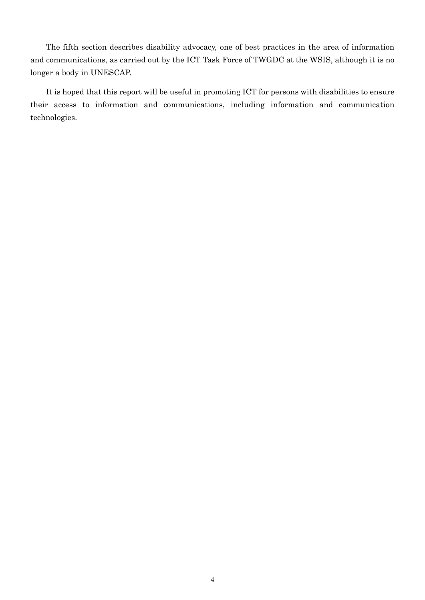The fifth section describes disability advocacy, one of best practices in the area of information and communications, as carried out by the ICT Task Force of TWGDC at the WSIS, although it is no longer a body in UNESCAP.

It is hoped that this report will be useful in promoting ICT for persons with disabilities to ensure their access to information and communications, including information and communication technologies.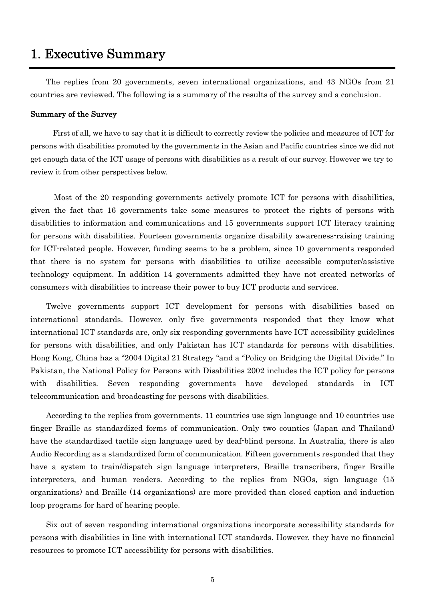### <span id="page-4-0"></span>1. Executive Summary

The replies from 20 governments, seven international organizations, and 43 NGOs from 21 countries are reviewed. The following is a summary of the results of the survey and a conclusion.

#### Summary of the Survey

First of all, we have to say that it is difficult to correctly review the policies and measures of ICT for persons with disabilities promoted by the governments in the Asian and Pacific countries since we did not get enough data of the ICT usage of persons with disabilities as a result of our survey. However we try to review it from other perspectives below.

Most of the 20 responding governments actively promote ICT for persons with disabilities, given the fact that 16 governments take some measures to protect the rights of persons with disabilities to information and communications and 15 governments support ICT literacy training for persons with disabilities. Fourteen governments organize disability awareness-raising training for ICT-related people. However, funding seems to be a problem, since 10 governments responded that there is no system for persons with disabilities to utilize accessible computer/assistive technology equipment. In addition 14 governments admitted they have not created networks of consumers with disabilities to increase their power to buy ICT products and services.

Twelve governments support ICT development for persons with disabilities based on international standards. However, only five governments responded that they know what international ICT standards are, only six responding governments have ICT accessibility guidelines for persons with disabilities, and only Pakistan has ICT standards for persons with disabilities. Hong Kong, China has a "2004 Digital 21 Strategy "and a "Policy on Bridging the Digital Divide." In Pakistan, the National Policy for Persons with Disabilities 2002 includes the ICT policy for persons with disabilities. Seven responding governments have developed standards in ICT telecommunication and broadcasting for persons with disabilities.

According to the replies from governments, 11 countries use sign language and 10 countries use finger Braille as standardized forms of communication. Only two counties (Japan and Thailand) have the standardized tactile sign language used by deaf-blind persons. In Australia, there is also Audio Recording as a standardized form of communication. Fifteen governments responded that they have a system to train/dispatch sign language interpreters, Braille transcribers, finger Braille interpreters, and human readers. According to the replies from NGOs, sign language (15 organizations) and Braille (14 organizations) are more provided than closed caption and induction loop programs for hard of hearing people.

Six out of seven responding international organizations incorporate accessibility standards for persons with disabilities in line with international ICT standards. However, they have no financial resources to promote ICT accessibility for persons with disabilities.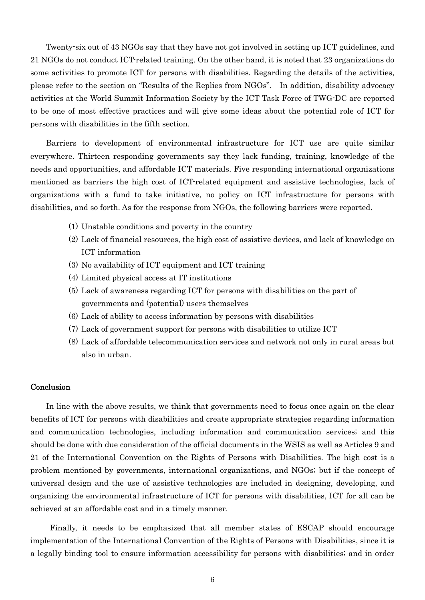Twenty-six out of 43 NGOs say that they have not got involved in setting up ICT guidelines, and 21 NGOs do not conduct ICT-related training. On the other hand, it is noted that 23 organizations do some activities to promote ICT for persons with disabilities. Regarding the details of the activities, please refer to the section on "Results of the Replies from NGOs". In addition, disability advocacy activities at the World Summit Information Society by the ICT Task Force of TWG-DC are reported to be one of most effective practices and will give some ideas about the potential role of ICT for persons with disabilities in the fifth section.

Barriers to development of environmental infrastructure for ICT use are quite similar everywhere. Thirteen responding governments say they lack funding, training, knowledge of the needs and opportunities, and affordable ICT materials. Five responding international organizations mentioned as barriers the high cost of ICT-related equipment and assistive technologies, lack of organizations with a fund to take initiative, no policy on ICT infrastructure for persons with disabilities, and so forth. As for the response from NGOs, the following barriers were reported.

- (1) Unstable conditions and poverty in the country
- (2) Lack of financial resources, the high cost of assistive devices, and lack of knowledge on ICT information
- (3) No availability of ICT equipment and ICT training
- (4) Limited physical access at IT institutions
- (5) Lack of awareness regarding ICT for persons with disabilities on the part of governments and (potential) users themselves
- (6) Lack of ability to access information by persons with disabilities
- (7) Lack of government support for persons with disabilities to utilize ICT
- (8) Lack of affordable telecommunication services and network not only in rural areas but also in urban.

#### Conclusion

In line with the above results, we think that governments need to focus once again on the clear benefits of ICT for persons with disabilities and create appropriate strategies regarding information and communication technologies, including information and communication services; and this should be done with due consideration of the official documents in the WSIS as well as Articles 9 and 21 of the International Convention on the Rights of Persons with Disabilities. The high cost is a problem mentioned by governments, international organizations, and NGOs; but if the concept of universal design and the use of assistive technologies are included in designing, developing, and organizing the environmental infrastructure of ICT for persons with disabilities, ICT for all can be achieved at an affordable cost and in a timely manner.

Finally, it needs to be emphasized that all member states of ESCAP should encourage implementation of the International Convention of the Rights of Persons with Disabilities, since it is a legally binding tool to ensure information accessibility for persons with disabilities; and in order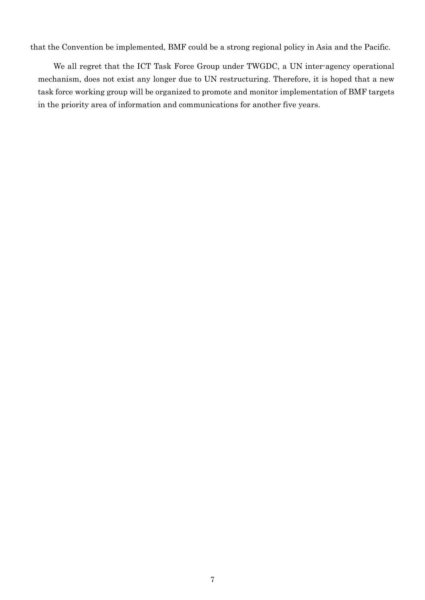that the Convention be implemented, BMF could be a strong regional policy in Asia and the Pacific.

We all regret that the ICT Task Force Group under TWGDC, a UN inter-agency operational mechanism, does not exist any longer due to UN restructuring. Therefore, it is hoped that a new task force working group will be organized to promote and monitor implementation of BMF targets in the priority area of information and communications for another five years.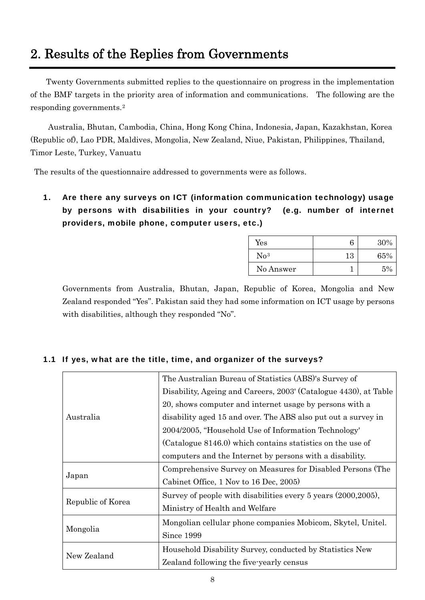# <span id="page-7-0"></span>2. Results of the Replies from Governments

Twenty Governments submitted replies to the questionnaire on progress in the implementation of the BMF targets in the priority area of information and communications. The following are the responding governments.[2](#page-39-1)

Australia, Bhutan, Cambodia, China, Hong Kong China, Indonesia, Japan, Kazakhstan, Korea (Republic of), Lao PDR, Maldives, Mongolia, New Zealand, Niue, Pakistan, Philippines, Thailand, Timor Leste, Turkey, Vanuatu

The results of the questionnaire addressed to governments were as follows.

#### 1. Are there any surveys on ICT (information communication technology) usage by persons with disabilities in your country? (e.g. number of internet providers, mobile phone, computer users, etc.)

| $\operatorname{Yes}$ | 6  | 30%   |
|----------------------|----|-------|
| $\rm No^3$           | 13 | 65%   |
| No Answer            |    | $5\%$ |

Governments from Australia, Bhutan, Japan, Republic of Korea, Mongolia and New Zealand responded "Yes". Pakistan said they had some information on ICT usage by persons with disabilities, although they responded "No".

#### 1.1 If yes, what are the title, time, and organizer of the surveys?

|                   | The Australian Bureau of Statistics (ABS)'s Survey of            |
|-------------------|------------------------------------------------------------------|
|                   | Disability, Ageing and Careers, 2003' (Catalogue 4430), at Table |
|                   | 20, shows computer and internet usage by persons with a          |
| Australia         | disability aged 15 and over. The ABS also put out a survey in    |
|                   | 2004/2005, "Household Use of Information Technology"             |
|                   | (Catalogue 8146.0) which contains statistics on the use of       |
|                   | computers and the Internet by persons with a disability.         |
|                   | Comprehensive Survey on Measures for Disabled Persons (The       |
| Japan             | Cabinet Office, 1 Nov to 16 Dec, 2005)                           |
|                   | Survey of people with disabilities every 5 years (2000, 2005),   |
| Republic of Korea | Ministry of Health and Welfare                                   |
|                   | Mongolian cellular phone companies Mobicom, Skytel, Unitel.      |
| Mongolia          | Since 1999                                                       |
|                   | Household Disability Survey, conducted by Statistics New         |
| New Zealand       | Zealand following the five-yearly census                         |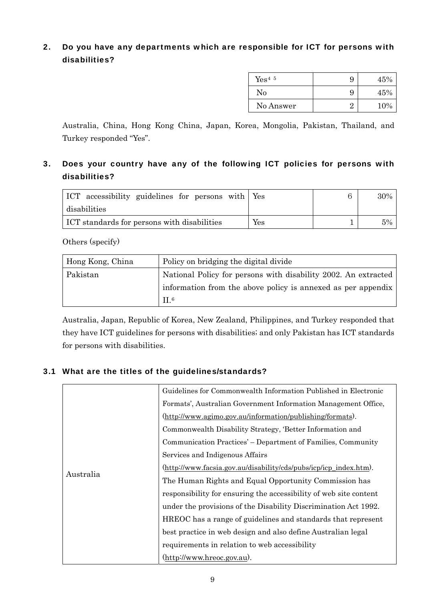#### 2. Do you have any departments which are responsible for ICT for persons with disabilities?

| $Yes4-5$  | 9 | 45% |
|-----------|---|-----|
| No        | 9 | 45% |
| No Answer | ດ | 10% |

Australia, China, Hong Kong China, Japan, Korea, Mongolia, Pakistan, Thailand, and Turkey responded "Yes".

#### 3. Does your country have any of the following ICT policies for persons with disabilities?

| ICT accessibility guidelines for persons with Yes |     | ี | 30% |
|---------------------------------------------------|-----|---|-----|
| disabilities                                      |     |   |     |
| ICT standards for persons with disabilities       | Yes |   | 5%  |

Others (specify)

| Hong Kong, China | Policy on bridging the digital divide                          |
|------------------|----------------------------------------------------------------|
| Pakistan         | National Policy for persons with disability 2002. An extracted |
|                  | information from the above policy is annexed as per appendix   |
|                  | $\Pi^6$                                                        |

Australia, Japan, Republic of Korea, New Zealand, Philippines, and Turkey responded that they have ICT guidelines for persons with disabilities; and only Pakistan has ICT standards for persons with disabilities.

#### 3.1 What are the titles of the guidelines/standards?

|           | Guidelines for Commonwealth Information Published in Electronic   |
|-----------|-------------------------------------------------------------------|
|           | Formats', Australian Government Information Management Office,    |
|           | (http://www.agimo.gov.au/information/publishing/formats).         |
|           | Commonwealth Disability Strategy, 'Better Information and         |
|           | Communication Practices' – Department of Families, Community      |
|           | Services and Indigenous Affairs                                   |
|           | (http://www.facsia.gov.au/disability/cds/pubs/icp/icp_index.htm). |
| Australia | The Human Rights and Equal Opportunity Commission has             |
|           | responsibility for ensuring the accessibility of web site content |
|           | under the provisions of the Disability Discrimination Act 1992.   |
|           | HREOC has a range of guidelines and standards that represent      |
|           | best practice in web design and also define Australian legal      |
|           | requirements in relation to web accessibility                     |
|           | (http://www.hreoc.gov.au).                                        |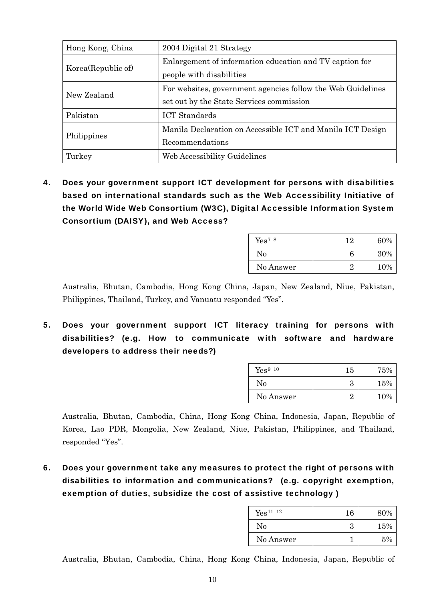| Hong Kong, China    | 2004 Digital 21 Strategy                                                                                |
|---------------------|---------------------------------------------------------------------------------------------------------|
| Korea (Republic of) | Enlargement of information education and TV caption for<br>people with disabilities                     |
| New Zealand         | For websites, government agencies follow the Web Guidelines<br>set out by the State Services commission |
| Pakistan            | <b>ICT</b> Standards                                                                                    |
| Philippines         | Manila Declaration on Accessible ICT and Manila ICT Design<br>Recommendations                           |
| Turkey              | Web Accessibility Guidelines                                                                            |

4. Does your government support ICT development for persons with disabilities based on international standards such as the Web Accessibility Initiative of the World Wide Web Consortium (W3C), Digital Accessible Information System Consortium (DAISY), and Web Access?

| Yes <sup>7</sup> 8 | 19 | 60% |
|--------------------|----|-----|
| No                 | 6  | 30% |
| No Answer          | ດ  | 10% |

Australia, Bhutan, Cambodia, Hong Kong China, Japan, New Zealand, Niue, Pakistan, Philippines, Thailand, Turkey, and Vanuatu responded "Yes".

5. Does your government support ICT literacy training for persons with disabilities? (e.g. How to communicate with software and hardware developers to address their needs?)

| Yes <sup>9 10</sup> | 15 | 75%    |
|---------------------|----|--------|
| No                  | З  | $15\%$ |
| No Answer           | ດ  | 10%    |

Australia, Bhutan, Cambodia, China, Hong Kong China, Indonesia, Japan, Republic of Korea, Lao PDR, Mongolia, New Zealand, Niue, Pakistan, Philippines, and Thailand, responded "Yes".

6. Does your government take any measures to protect the right of persons with disabilities to information and communications? (e.g. copyright exemption, exemption of duties, subsidize the cost of assistive technology )

| Yes <sup>11</sup> 12 | 16 | 80% |
|----------------------|----|-----|
| No                   | З  | 15% |
| No Answer            |    | 5%  |

Australia, Bhutan, Cambodia, China, Hong Kong China, Indonesia, Japan, Republic of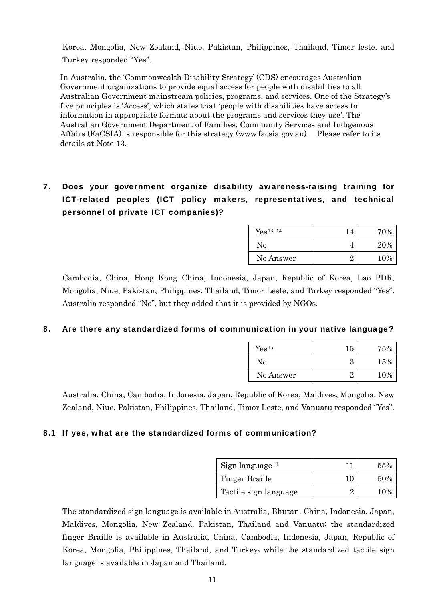Korea, Mongolia, New Zealand, Niue, Pakistan, Philippines, Thailand, Timor leste, and Turkey responded "Yes".

In Australia, the 'Commonwealth Disability Strategy' (CDS) encourages Australian Government organizations to provide equal access for people with disabilities to all Australian Government mainstream policies, programs, and services. One of the Strategy's five principles is 'Access', which states that 'people with disabilities have access to information in appropriate formats about the programs and services they use'. The Australian Government Department of Families, Community Services and Indigenous Affairs (FaCSIA) is responsible for this strategy [\(www.facsia.gov.au](http://www.facsia.gov.au/)). Please refer to its details at Note 13.

#### 7. Does your government organize disability awareness-raising training for ICT-related peoples (ICT policy makers, representatives, and technical personnel of private ICT companies)?

| Yes <sup>13</sup> 14 | 14 | 70% |
|----------------------|----|-----|
| No                   | 4  | 20% |
| No Answer            |    | 10% |

Cambodia, China, Hong Kong China, Indonesia, Japan, Republic of Korea, Lao PDR, Mongolia, Niue, Pakistan, Philippines, Thailand, Timor Leste, and Turkey responded "Yes". Australia responded "No", but they added that it is provided by NGOs.

#### 8. Are there any standardized forms of communication in your native language?

| Yes <sup>15</sup> | 15 | 75% |
|-------------------|----|-----|
| No                | З  | 15% |
| No Answer         | ດ  | 10% |

Australia, China, Cambodia, Indonesia, Japan, Republic of Korea, Maldives, Mongolia, New Zealand, Niue, Pakistan, Philippines, Thailand, Timor Leste, and Vanuatu responded "Yes".

#### 8.1 If yes, what are the standardized forms of communication?

| $Sign$ language <sup>16</sup> |    | 55% |
|-------------------------------|----|-----|
| Finger Braille                | 10 | 50% |
| Tactile sign language         |    | 10% |

The standardized sign language is available in Australia, Bhutan, China, Indonesia, Japan, Maldives, Mongolia, New Zealand, Pakistan, Thailand and Vanuatu; the standardized finger Braille is available in Australia, China, Cambodia, Indonesia, Japan, Republic of Korea, Mongolia, Philippines, Thailand, and Turkey; while the standardized tactile sign language is available in Japan and Thailand.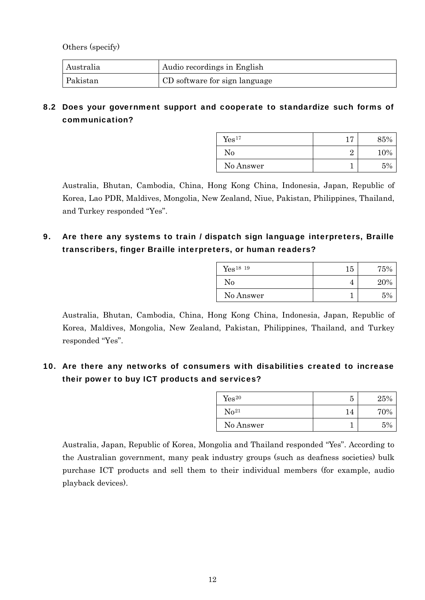Others (specify)

| Australia | Audio recordings in English    |
|-----------|--------------------------------|
| Pakistan  | (CD software for sign language |

#### 8.2 Does your government support and cooperate to standardize such forms of communication?

| Yes <sup>17</sup> | 1 <sub>7</sub><br>┸ | 85% |
|-------------------|---------------------|-----|
| No                | ດ                   | 10% |
| No Answer         |                     | 5%  |

Australia, Bhutan, Cambodia, China, Hong Kong China, Indonesia, Japan, Republic of Korea, Lao PDR, Maldives, Mongolia, New Zealand, Niue, Pakistan, Philippines, Thailand, and Turkey responded "Yes".

9. Are there any systems to train / dispatch sign language interpreters, Braille transcribers, finger Braille interpreters, or human readers?

| Yes <sup>18</sup> 19 | 15 | 75% |
|----------------------|----|-----|
| No                   | 4  | 20% |
| No Answer            |    | 5%  |

Australia, Bhutan, Cambodia, China, Hong Kong China, Indonesia, Japan, Republic of Korea, Maldives, Mongolia, New Zealand, Pakistan, Philippines, Thailand, and Turkey responded "Yes".

#### 10. Are there any networks of consumers with disabilities created to increase their power to buy ICT products and services?

| Yes <sup>20</sup> | 5  | 25% |
|-------------------|----|-----|
| $\rm No^{21}$     | 14 | 70% |
| No Answer         |    | 5%  |

Australia, Japan, Republic of Korea, Mongolia and Thailand responded "Yes". According to the Australian government, many peak industry groups (such as deafness societies) bulk purchase ICT products and sell them to their individual members (for example, audio playback devices).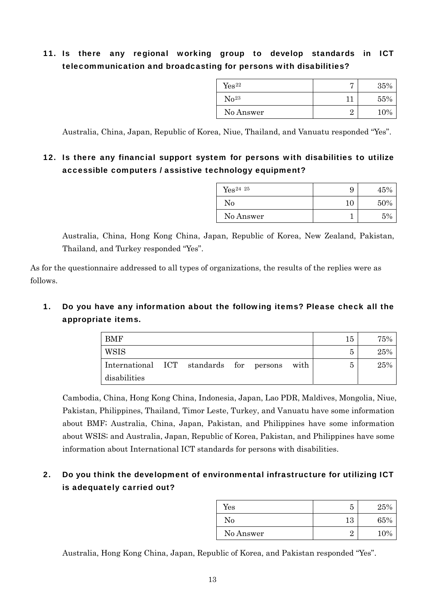#### 11. Is there any regional working group to develop standards in ICT telecommunication and broadcasting for persons with disabilities?

| ${\rm Yes^{22}}$ |   | 35% |
|------------------|---|-----|
| $\rm No^{23}$    |   | 55% |
| No Answer        | റ | 10% |

Australia, China, Japan, Republic of Korea, Niue, Thailand, and Vanuatu responded "Yes".

#### 12. Is there any financial support system for persons with disabilities to utilize accessible computers / assistive technology equipment?

| $Yes^{24}25$ | 9  | 45% |
|--------------|----|-----|
| No           | 10 | 50% |
| No Answer    |    | 5%  |

Australia, China, Hong Kong China, Japan, Republic of Korea, New Zealand, Pakistan, Thailand, and Turkey responded "Yes".

As for the questionnaire addressed to all types of organizations, the results of the replies were as follows.

#### 1. Do you have any information about the following items? Please check all the appropriate items.

| <b>BMF</b>                              |  |  |      | 15 | 75% |
|-----------------------------------------|--|--|------|----|-----|
| WSIS                                    |  |  |      | 5  | 25% |
| International ICT standards for persons |  |  | with | 5  | 25% |
| disabilities                            |  |  |      |    |     |

Cambodia, China, Hong Kong China, Indonesia, Japan, Lao PDR, Maldives, Mongolia, Niue, Pakistan, Philippines, Thailand, Timor Leste, Turkey, and Vanuatu have some information about BMF; Australia, China, Japan, Pakistan, and Philippines have some information about WSIS; and Australia, Japan, Republic of Korea, Pakistan, and Philippines have some information about International ICT standards for persons with disabilities.

#### 2. Do you think the development of environmental infrastructure for utilizing ICT is adequately carried out?

| Yes       | 5        | 25% |
|-----------|----------|-----|
| No        | 13       | 65% |
| No Answer | $\Omega$ | 10% |

Australia, Hong Kong China, Japan, Republic of Korea, and Pakistan responded "Yes".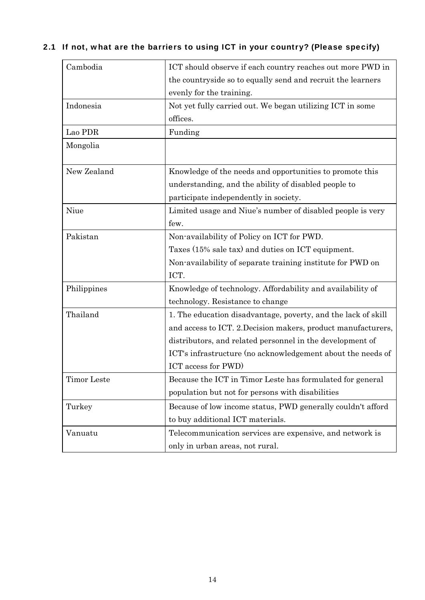| Cambodia    | ICT should observe if each country reaches out more PWD in    |
|-------------|---------------------------------------------------------------|
|             | the countryside so to equally send and recruit the learners   |
|             | evenly for the training.                                      |
| Indonesia   | Not yet fully carried out. We began utilizing ICT in some     |
|             | offices.                                                      |
| Lao PDR     | Funding                                                       |
| Mongolia    |                                                               |
|             |                                                               |
| New Zealand | Knowledge of the needs and opportunities to promote this      |
|             | understanding, and the ability of disabled people to          |
|             | participate independently in society.                         |
| Niue        | Limited usage and Niue's number of disabled people is very    |
|             | few.                                                          |
| Pakistan    | Non-availability of Policy on ICT for PWD.                    |
|             | Taxes (15% sale tax) and duties on ICT equipment.             |
|             | Non-availability of separate training institute for PWD on    |
|             | ICT.                                                          |
| Philippines | Knowledge of technology. Affordability and availability of    |
|             | technology. Resistance to change                              |
| Thailand    | 1. The education disadvantage, poverty, and the lack of skill |
|             | and access to ICT. 2. Decision makers, product manufacturers, |
|             | distributors, and related personnel in the development of     |
|             | ICT's infrastructure (no acknowledgement about the needs of   |
|             | ICT access for PWD)                                           |
| Timor Leste | Because the ICT in Timor Leste has formulated for general     |
|             | population but not for persons with disabilities              |
| Turkey      | Because of low income status, PWD generally couldn't afford   |
|             | to buy additional ICT materials.                              |
| Vanuatu     | Telecommunication services are expensive, and network is      |
|             | only in urban areas, not rural.                               |

### 2.1 If not, what are the barriers to using ICT in your country? (Please specify)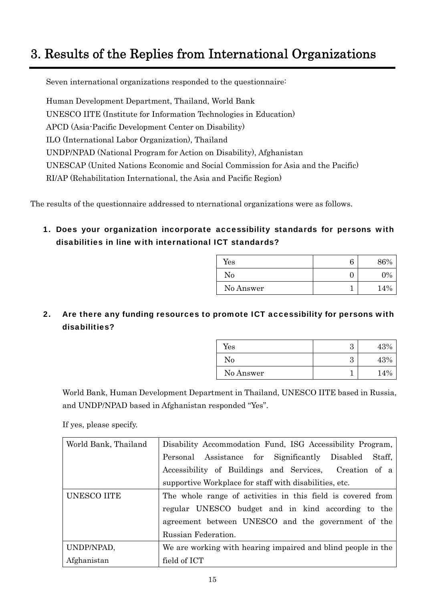# <span id="page-14-0"></span>3. Results of the Replies from International Organizations

Seven international organizations responded to the questionnaire:

Human Development Department, Thailand, World Bank UNESCO IITE (Institute for Information Technologies in Education) APCD (Asia-Pacific Development Center on Disability) ILO (International Labor Organization), Thailand UNDP/NPAD (National Program for Action on Disability), Afghanistan UNESCAP (United Nations Economic and Social Commission for Asia and the Pacific) RI/AP (Rehabilitation International, the Asia and Pacific Region)

The results of the questionnaire addressed to nternational organizations were as follows.

1. Does your organization incorporate accessibility standards for persons with disabilities in line with international ICT standards?

| $\operatorname{Yes}$ | 6 | 86%   |
|----------------------|---|-------|
| No                   |   | $0\%$ |
| No Answer            |   | 14%   |

2. Are there any funding resources to promote ICT accessibility for persons with disabilities?

| $\operatorname{Yes}$ | റ<br>ഄ | 43% |
|----------------------|--------|-----|
| No                   | റ<br>ഄ | 43% |
| No Answer            |        | 14% |

World Bank, Human Development Department in Thailand, UNESCO IITE based in Russia, and UNDP/NPAD based in Afghanistan responded "Yes".

If yes, please specify.

| World Bank, Thailand | Disability Accommodation Fund, ISG Accessibility Program,    |
|----------------------|--------------------------------------------------------------|
|                      | Personal Assistance for Significantly Disabled<br>Staff,     |
|                      | Accessibility of Buildings and Services, Creation of a       |
|                      | supportive Workplace for staff with disabilities, etc.       |
| UNESCO IITE          | The whole range of activities in this field is covered from  |
|                      | regular UNESCO budget and in kind according to the           |
|                      | agreement between UNESCO and the government of the           |
|                      | Russian Federation.                                          |
| UNDP/NPAD,           | We are working with hearing impaired and blind people in the |
| Afghanistan          | field of ICT                                                 |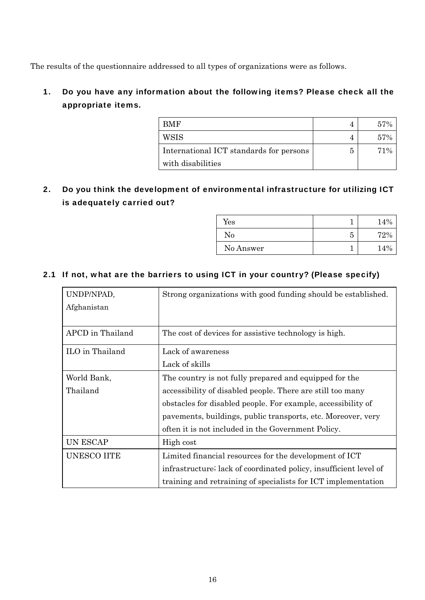The results of the questionnaire addressed to all types of organizations were as follows.

#### 1. Do you have any information about the following items? Please check all the appropriate items.

| BMF                                     |   | 57% |
|-----------------------------------------|---|-----|
| <b>WSIS</b>                             |   | 57% |
| International ICT standards for persons | 5 | 71% |
| with disabilities                       |   |     |

2. Do you think the development of environmental infrastructure for utilizing ICT is adequately carried out?

| $\operatorname{Yes}$ |   | 14% |
|----------------------|---|-----|
| No                   | 5 | 72% |
| No Answer            |   | 14% |

#### 2.1 If not, what are the barriers to using ICT in your country? (Please specify)

| UNDP/NPAD,         | Strong organizations with good funding should be established.     |
|--------------------|-------------------------------------------------------------------|
| Afghanistan        |                                                                   |
|                    |                                                                   |
| APCD in Thailand   | The cost of devices for assistive technology is high.             |
| ILO in Thailand    | Lack of awareness                                                 |
|                    | Lack of skills                                                    |
| World Bank,        | The country is not fully prepared and equipped for the            |
| Thailand           | accessibility of disabled people. There are still too many        |
|                    | obstacles for disabled people. For example, accessibility of      |
|                    | pavements, buildings, public transports, etc. Moreover, very      |
|                    | often it is not included in the Government Policy.                |
| <b>UN ESCAP</b>    | High cost                                                         |
| <b>UNESCO IITE</b> | Limited financial resources for the development of ICT            |
|                    | infrastructure; lack of coordinated policy, insufficient level of |
|                    | training and retraining of specialists for ICT implementation     |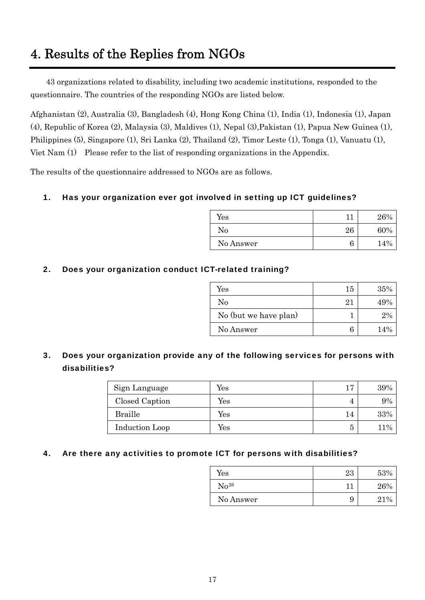# <span id="page-16-0"></span>4. Results of the Replies from NGOs

43 organizations related to disability, including two academic institutions, responded to the questionnaire. The countries of the responding NGOs are listed below.

Afghanistan (2), Australia (3), Bangladesh (4), Hong Kong China (1), India (1), Indonesia (1), Japan (4), Republic of Korea (2), Malaysia (3), Maldives (1), Nepal (3),Pakistan (1), Papua New Guinea (1), Philippines (5), Singapore (1), Sri Lanka (2), Thailand (2), Timor Leste (1), Tonga (1), Vanuatu (1), Viet Nam (1) Please refer to the list of responding organizations in the Appendix.

The results of the questionnaire addressed to NGOs are as follows.

#### 1. Has your organization ever got involved in setting up ICT guidelines?

| Yes       | 11 | 26% |
|-----------|----|-----|
| No        | 26 | 60% |
| No Answer | b  | 14% |

#### 2. Does your organization conduct ICT-related training?

| Yes                   | 15 | 35% |
|-----------------------|----|-----|
| No                    | 21 | 49% |
| No (but we have plan) |    | 2%  |
| No Answer             |    | 14% |

#### 3. Does your organization provide any of the following services for persons with disabilities?

| Sign Language  | Yes                  | 17 | 39%    |
|----------------|----------------------|----|--------|
| Closed Caption | Yes                  |    | $.9\%$ |
| <b>Braille</b> | Yes                  | 14 | 33%    |
| Induction Loop | $\operatorname{Yes}$ | 5  | 11%    |

#### 4. Are there any activities to promote ICT for persons with disabilities?

| Yes           | 23  | 53%  |
|---------------|-----|------|
| $\rm No^{26}$ | า า | 26%  |
| No Answer     | 9   | 21\% |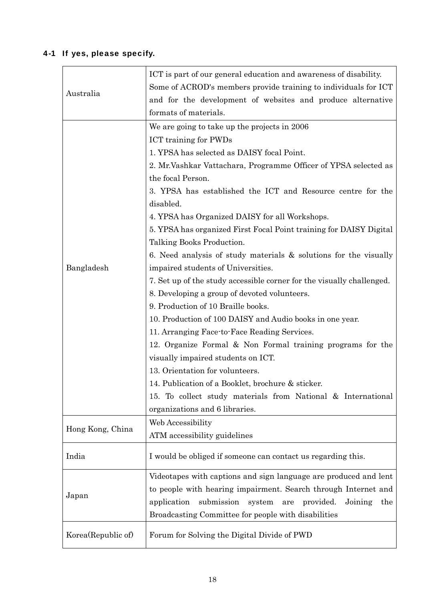# 4-1 If yes, please specify.

| Australia          | ICT is part of our general education and awareness of disability.<br>Some of ACROD's members provide training to individuals for ICT<br>and for the development of websites and produce alternative<br>formats of materials. |
|--------------------|------------------------------------------------------------------------------------------------------------------------------------------------------------------------------------------------------------------------------|
|                    | We are going to take up the projects in 2006<br><b>ICT</b> training for PWDs                                                                                                                                                 |
|                    | 1. YPSA has selected as DAISY focal Point.                                                                                                                                                                                   |
|                    |                                                                                                                                                                                                                              |
|                    | 2. Mr. Vashkar Vattachara, Programme Officer of YPSA selected as<br>the focal Person.                                                                                                                                        |
|                    | 3. YPSA has established the ICT and Resource centre for the                                                                                                                                                                  |
|                    | disabled.                                                                                                                                                                                                                    |
|                    | 4. YPSA has Organized DAISY for all Workshops.                                                                                                                                                                               |
|                    |                                                                                                                                                                                                                              |
|                    | 5. YPSA has organized First Focal Point training for DAISY Digital<br>Talking Books Production.                                                                                                                              |
|                    |                                                                                                                                                                                                                              |
|                    | 6. Need analysis of study materials & solutions for the visually                                                                                                                                                             |
| Bangladesh         | impaired students of Universities.                                                                                                                                                                                           |
|                    | 7. Set up of the study accessible corner for the visually challenged.                                                                                                                                                        |
|                    | 8. Developing a group of devoted volunteers.                                                                                                                                                                                 |
|                    | 9. Production of 10 Braille books.                                                                                                                                                                                           |
|                    | 10. Production of 100 DAISY and Audio books in one year.                                                                                                                                                                     |
|                    | 11. Arranging Face to Face Reading Services.                                                                                                                                                                                 |
|                    | 12. Organize Formal & Non Formal training programs for the                                                                                                                                                                   |
|                    | visually impaired students on ICT.                                                                                                                                                                                           |
|                    | 13. Orientation for volunteers.                                                                                                                                                                                              |
|                    | 14. Publication of a Booklet, brochure & sticker.                                                                                                                                                                            |
|                    | 15. To collect study materials from National & International                                                                                                                                                                 |
|                    | organizations and 6 libraries.                                                                                                                                                                                               |
| Hong Kong, China   | Web Accessibility                                                                                                                                                                                                            |
|                    | ATM accessibility guidelines                                                                                                                                                                                                 |
| India              | I would be obliged if someone can contact us regarding this.                                                                                                                                                                 |
|                    | Videotapes with captions and sign language are produced and lent                                                                                                                                                             |
|                    | to people with hearing impairment. Search through Internet and                                                                                                                                                               |
| Japan              | application submission system<br>are<br>provided.<br>Joining<br>the                                                                                                                                                          |
|                    | Broadcasting Committee for people with disabilities                                                                                                                                                                          |
| Korea(Republic of) | Forum for Solving the Digital Divide of PWD                                                                                                                                                                                  |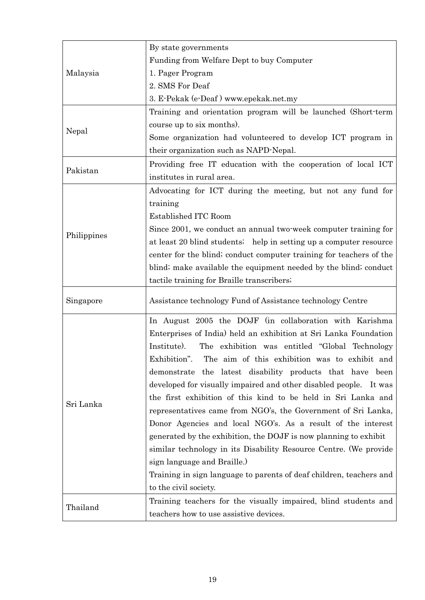|             | By state governments                                                |
|-------------|---------------------------------------------------------------------|
| Malaysia    | Funding from Welfare Dept to buy Computer                           |
|             | 1. Pager Program                                                    |
|             | 2. SMS For Deaf                                                     |
|             | 3. E-Pekak (e-Deaf) www.epekak.net.my                               |
|             | Training and orientation program will be launched (Short-term       |
|             | course up to six months).                                           |
| Nepal       | Some organization had volunteered to develop ICT program in         |
|             | their organization such as NAPD-Nepal.                              |
|             | Providing free IT education with the cooperation of local ICT       |
| Pakistan    | institutes in rural area.                                           |
|             | Advocating for ICT during the meeting, but not any fund for         |
|             | training                                                            |
|             | Established ITC Room                                                |
|             | Since 2001, we conduct an annual two-week computer training for     |
| Philippines | at least 20 blind students; help in setting up a computer resource  |
|             | center for the blind; conduct computer training for teachers of the |
|             | blind; make available the equipment needed by the blind; conduct    |
|             | tactile training for Braille transcribers;                          |
| Singapore   | Assistance technology Fund of Assistance technology Centre          |
|             | In August 2005 the DOJF (in collaboration with Karishma             |
|             | Enterprises of India) held an exhibition at Sri Lanka Foundation    |
|             | Institute).<br>The exhibition was entitled "Global Technology       |
|             | Exhibition".<br>The aim of this exhibition was to exhibit and       |
|             | demonstrate the latest disability products that have been           |
|             | developed for visually impaired and other disabled people. It was   |
|             | the first exhibition of this kind to be held in Sri Lanka and       |
| Sri Lanka   | representatives came from NGO's, the Government of Sri Lanka,       |
|             | Donor Agencies and local NGO's. As a result of the interest         |
|             | generated by the exhibition, the DOJF is now planning to exhibit    |
|             | similar technology in its Disability Resource Centre. (We provide   |
|             | sign language and Braille.)                                         |
|             | Training in sign language to parents of deaf children, teachers and |
|             | to the civil society.                                               |
| Thailand    | Training teachers for the visually impaired, blind students and     |
|             | teachers how to use assistive devices.                              |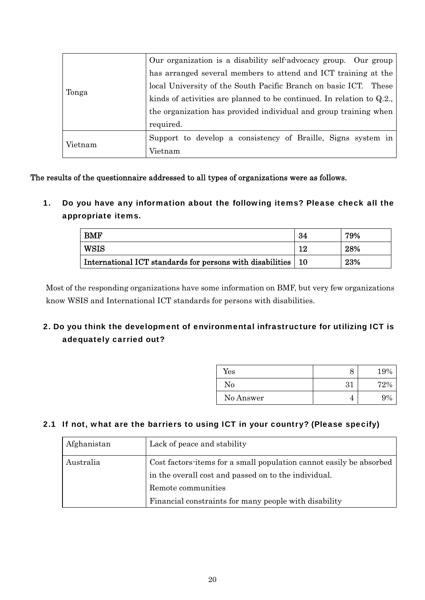| Tonga   | Our organization is a disability self-advocacy group. Our group         |
|---------|-------------------------------------------------------------------------|
|         | has arranged several members to attend and ICT training at the          |
|         | local University of the South Pacific Branch on basic ICT. These        |
|         | kinds of activities are planned to be continued. In relation to $Q.2$ . |
|         | the organization has provided individual and group training when        |
|         | required.                                                               |
| Vietnam | Support to develop a consistency of Braille, Signs system in            |
|         | Vietnam                                                                 |

The results of the questionnaire addressed to all types of organizations were as follows.

1. Do you have any information about the following items? Please check all the appropriate items.

| <b>BMF</b>                                                     | -34 | 79% |
|----------------------------------------------------------------|-----|-----|
| WSIS                                                           | 1 ດ | 28% |
| International ICT standards for persons with disabilities   10 |     | 23% |

Most of the responding organizations have some information on BMF, but very few organizations know WSIS and International ICT standards for persons with disabilities.

#### 2. Do you think the development of environmental infrastructure for utilizing ICT is adequately carried out?

| $\operatorname{Yes}$ | О  | 19% |
|----------------------|----|-----|
| No                   | 31 | 72% |
| No Answer            | 4  | 9%  |

#### 2.1 If not, what are the barriers to using ICT in your country? (Please specify)

| Afghanistan | Lack of peace and stability                                                                                                 |
|-------------|-----------------------------------------------------------------------------------------------------------------------------|
| Australia   | Cost factors items for a small population cannot easily be absorbed<br>in the overall cost and passed on to the individual. |
|             | Remote communities                                                                                                          |
|             | Financial constraints for many people with disability                                                                       |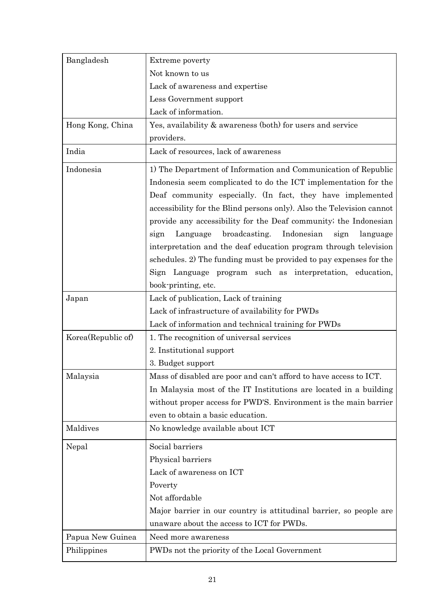| Bangladesh         | Extreme poverty                                                       |
|--------------------|-----------------------------------------------------------------------|
|                    | Not known to us                                                       |
|                    | Lack of awareness and expertise                                       |
|                    | Less Government support                                               |
|                    | Lack of information.                                                  |
| Hong Kong, China   | Yes, availability & awareness (both) for users and service            |
|                    | providers.                                                            |
| India              | Lack of resources, lack of awareness                                  |
| Indonesia          | 1) The Department of Information and Communication of Republic        |
|                    | Indonesia seem complicated to do the ICT implementation for the       |
|                    | Deaf community especially. (In fact, they have implemented            |
|                    | accessibility for the Blind persons only). Also the Television cannot |
|                    | provide any accessibility for the Deaf community; the Indonesian      |
|                    | broadcasting.<br>Indonesian<br>Language<br>sign<br>language<br>sign   |
|                    | interpretation and the deaf education program through television      |
|                    | schedules. 2) The funding must be provided to pay expenses for the    |
|                    | Sign Language program such as interpretation, education,              |
|                    | book-printing, etc.                                                   |
| Japan              | Lack of publication, Lack of training                                 |
|                    | Lack of infrastructure of availability for PWDs                       |
|                    | Lack of information and technical training for PWDs                   |
| Korea(Republic of) | 1. The recognition of universal services                              |
|                    | 2. Institutional support                                              |
|                    | 3. Budget support                                                     |
| Malaysia           | Mass of disabled are poor and can't afford to have access to ICT.     |
|                    | In Malaysia most of the IT Institutions are located in a building     |
|                    | without proper access for PWD'S. Environment is the main barrier      |
|                    | even to obtain a basic education.                                     |
| Maldives           | No knowledge available about ICT                                      |
| Nepal              | Social barriers                                                       |
|                    | Physical barriers                                                     |
|                    | Lack of awareness on ICT                                              |
|                    | Poverty                                                               |
|                    | Not affordable                                                        |
|                    | Major barrier in our country is attitudinal barrier, so people are    |
|                    | unaware about the access to ICT for PWDs.                             |
| Papua New Guinea   | Need more awareness                                                   |
| Philippines        | PWDs not the priority of the Local Government                         |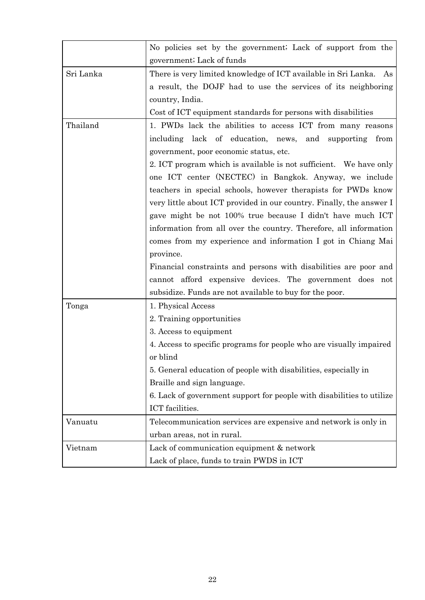|           | No policies set by the government; Lack of support from the           |
|-----------|-----------------------------------------------------------------------|
|           | government; Lack of funds                                             |
| Sri Lanka | There is very limited knowledge of ICT available in Sri Lanka. As     |
|           | a result, the DOJF had to use the services of its neighboring         |
|           | country, India.                                                       |
|           | Cost of ICT equipment standards for persons with disabilities         |
| Thailand  | 1. PWDs lack the abilities to access ICT from many reasons            |
|           | lack of education, news, and supporting<br>including<br>from          |
|           | government, poor economic status, etc.                                |
|           | 2. ICT program which is available is not sufficient. We have only     |
|           | one ICT center (NECTEC) in Bangkok. Anyway, we include                |
|           | teachers in special schools, however therapists for PWDs know         |
|           | very little about ICT provided in our country. Finally, the answer I  |
|           | gave might be not 100% true because I didn't have much ICT            |
|           | information from all over the country. Therefore, all information     |
|           | comes from my experience and information I got in Chiang Mai          |
|           | province.                                                             |
|           | Financial constraints and persons with disabilities are poor and      |
|           | cannot afford expensive devices. The government does not              |
|           | subsidize. Funds are not available to buy for the poor.               |
| Tonga     | 1. Physical Access                                                    |
|           | 2. Training opportunities                                             |
|           | 3. Access to equipment                                                |
|           | 4. Access to specific programs for people who are visually impaired   |
|           | or blind                                                              |
|           | 5. General education of people with disabilities, especially in       |
|           | Braille and sign language.                                            |
|           | 6. Lack of government support for people with disabilities to utilize |
|           | ICT facilities.                                                       |
| Vanuatu   | Telecommunication services are expensive and network is only in       |
|           | urban areas, not in rural.                                            |
| Vietnam   | Lack of communication equipment & network                             |
|           | Lack of place, funds to train PWDS in ICT                             |
|           |                                                                       |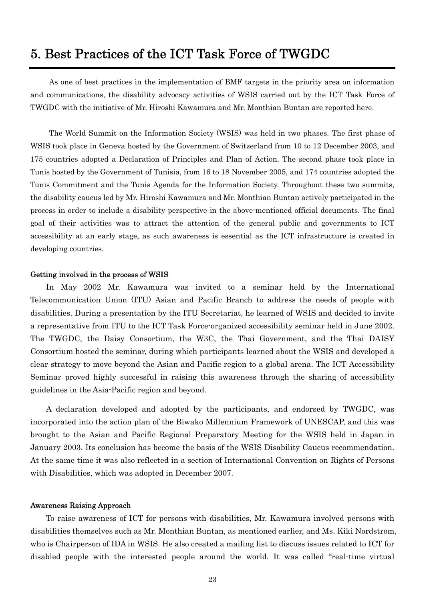# <span id="page-22-0"></span>5. Best Practices of the ICT Task Force of TWGDC

As one of best practices in the implementation of BMF targets in the priority area on information and communications, the disability advocacy activities of WSIS carried out by the ICT Task Force of TWGDC with the initiative of Mr. Hiroshi Kawamura and Mr. Monthian Buntan are reported here.

The World Summit on the Information Society (WSIS) was held in two phases. The first phase of WSIS took place in Geneva hosted by the Government of Switzerland from 10 to 12 December 2003, and 175 countries adopted a Declaration of Principles and Plan of Action. The second phase took place in Tunis hosted by the Government of Tunisia, from 16 to 18 November 2005, and 174 countries adopted the Tunis Commitment and the Tunis Agenda for the Information Society. Throughout these two summits, the disability caucus led by Mr. Hiroshi Kawamura and Mr. Monthian Buntan actively participated in the process in order to include a disability perspective in the above-mentioned official documents. The final goal of their activities was to attract the attention of the general public and governments to ICT accessibility at an early stage, as such awareness is essential as the ICT infrastructure is created in developing countries.

#### Getting involved in the process of WSIS

In May 2002 Mr. Kawamura was invited to a seminar held by the International Telecommunication Union (ITU) Asian and Pacific Branch to address the needs of people with disabilities. During a presentation by the ITU Secretariat, he learned of WSIS and decided to invite a representative from ITU to the ICT Task Force-organized accessibility seminar held in June 2002. The TWGDC, the Daisy Consortium, the W3C, the Thai Government, and the Thai DAISY Consortium hosted the seminar, during which participants learned about the WSIS and developed a clear strategy to move beyond the Asian and Pacific region to a global arena. The ICT Accessibility Seminar proved highly successful in raising this awareness through the sharing of accessibility guidelines in the Asia-Pacific region and beyond.

A declaration developed and adopted by the participants, and endorsed by TWGDC, was incorporated into the action plan of the Biwako Millennium Framework of UNESCAP, and this was brought to the Asian and Pacific Regional Preparatory Meeting for the WSIS held in Japan in January 2003. Its conclusion has become the basis of the WSIS Disability Caucus recommendation. At the same time it was also reflected in a section of International Convention on Rights of Persons with Disabilities, which was adopted in December 2007.

#### Awareness Raising Approach

To raise awareness of ICT for persons with disabilities, Mr. Kawamura involved persons with disabilities themselves such as Mr. Monthian Buntan, as mentioned earlier, and Ms. Kiki Nordstrom, who is Chairperson of IDA in WSIS. He also created a mailing list to discuss issues related to ICT for disabled people with the interested people around the world. It was called "real-time virtual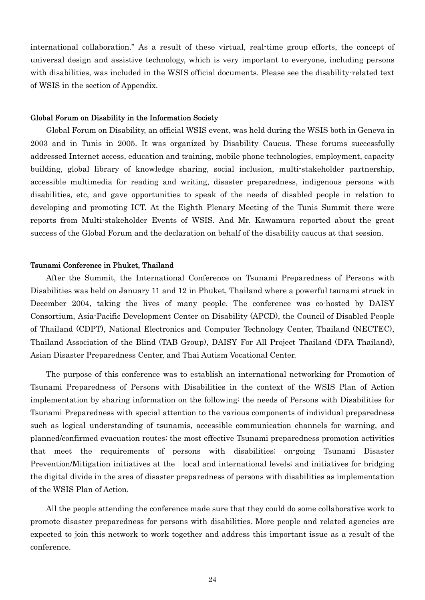international collaboration." As a result of these virtual, real-time group efforts, the concept of universal design and assistive technology, which is very important to everyone, including persons with disabilities, was included in the WSIS official documents. Please see the disability-related text of WSIS in the section of Appendix.

#### Global Forum on Disability in the Information Society

Global Forum on Disability, an official WSIS event, was held during the WSIS both in Geneva in 2003 and in Tunis in 2005. It was organized by Disability Caucus. These forums successfully addressed Internet access, education and training, mobile phone technologies, employment, capacity building, global library of knowledge sharing, social inclusion, multi-stakeholder partnership, accessible multimedia for reading and writing, disaster preparedness, indigenous persons with disabilities, etc, and gave opportunities to speak of the needs of disabled people in relation to developing and promoting ICT. At the Eighth Plenary Meeting of the Tunis Summit there were reports from Multi-stakeholder Events of WSIS. And Mr. Kawamura reported about the great success of the Global Forum and the declaration on behalf of the disability caucus at that session.

#### Tsunami Conference in Phuket, Thailand

After the Summit, the International Conference on Tsunami Preparedness of Persons with Disabilities was held on January 11 and 12 in Phuket, Thailand where a powerful tsunami struck in December 2004, taking the lives of many people. The conference was co-hosted by DAISY Consortium, Asia-Pacific Development Center on Disability (APCD), the Council of Disabled People of Thailand (CDPT), National Electronics and Computer Technology Center, Thailand (NECTEC), Thailand Association of the Blind (TAB Group), DAISY For All Project Thailand (DFA Thailand), Asian Disaster Preparedness Center, and Thai Autism Vocational Center.

The purpose of this conference was to establish an international networking for Promotion of Tsunami Preparedness of Persons with Disabilities in the context of the WSIS Plan of Action implementation by sharing information on the following: the needs of Persons with Disabilities for Tsunami Preparedness with special attention to the various components of individual preparedness such as logical understanding of tsunamis, accessible communication channels for warning, and planned/confirmed evacuation routes; the most effective Tsunami preparedness promotion activities that meet the requirements of persons with disabilities; on-going Tsunami Disaster Prevention/Mitigation initiatives at the local and international levels; and initiatives for bridging the digital divide in the area of disaster preparedness of persons with disabilities as implementation of the WSIS Plan of Action.

All the people attending the conference made sure that they could do some collaborative work to promote disaster preparedness for persons with disabilities. More people and related agencies are expected to join this network to work together and address this important issue as a result of the conference.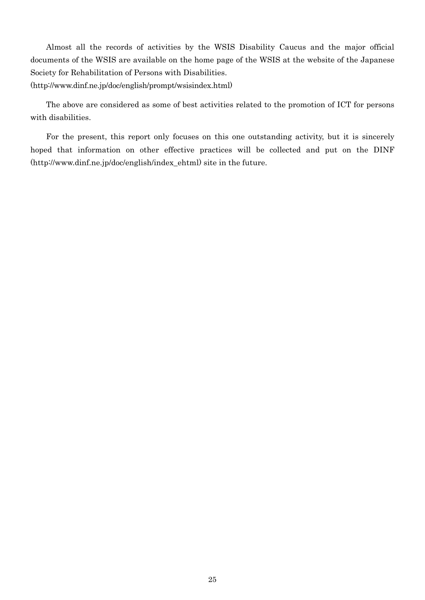Almost all the records of activities by the WSIS Disability Caucus and the major official documents of the WSIS are available on the home page of the WSIS at the website of the Japanese Society for Rehabilitation of Persons with Disabilities. (http://www.dinf.ne.jp/doc/english/prompt/wsisindex.html)

The above are considered as some of best activities related to the promotion of ICT for persons with disabilities.

For the present, this report only focuses on this one outstanding activity, but it is sincerely hoped that information on other effective practices will be collected and put on the DINF (http://www.dinf.ne.jp/doc/english/index\_ehtml) site in the future.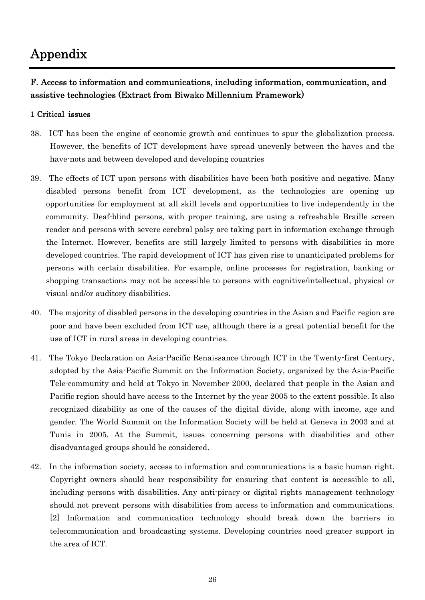# <span id="page-25-0"></span>Appendix

#### F. Access to information and communications, including information, communication, and assistive technologies (Extract from Biwako Millennium Framework)

#### 1 Critical issues

- 38. ICT has been the engine of economic growth and continues to spur the globalization process. However, the benefits of ICT development have spread unevenly between the haves and the have-nots and between developed and developing countries
- 39. The effects of ICT upon persons with disabilities have been both positive and negative. Many disabled persons benefit from ICT development, as the technologies are opening up opportunities for employment at all skill levels and opportunities to live independently in the community. Deaf-blind persons, with proper training, are using a refreshable Braille screen reader and persons with severe cerebral palsy are taking part in information exchange through the Internet. However, benefits are still largely limited to persons with disabilities in more developed countries. The rapid development of ICT has given rise to unanticipated problems for persons with certain disabilities. For example, online processes for registration, banking or shopping transactions may not be accessible to persons with cognitive/intellectual, physical or visual and/or auditory disabilities.
- 40. The majority of disabled persons in the developing countries in the Asian and Pacific region are poor and have been excluded from ICT use, although there is a great potential benefit for the use of ICT in rural areas in developing countries.
- 41. The Tokyo Declaration on Asia-Pacific Renaissance through ICT in the Twenty-first Century, adopted by the Asia-Pacific Summit on the Information Society, organized by the Asia-Pacific Tele-community and held at Tokyo in November 2000, declared that people in the Asian and Pacific region should have access to the Internet by the year 2005 to the extent possible. It also recognized disability as one of the causes of the digital divide, along with income, age and gender. The World Summit on the Information Society will be held at Geneva in 2003 and at Tunis in 2005. At the Summit, issues concerning persons with disabilities and other disadvantaged groups should be considered.
- 42. In the information society, access to information and communications is a basic human right. Copyright owners should bear responsibility for ensuring that content is accessible to all, including persons with disabilities. Any anti-piracy or digital rights management technology should not prevent persons with disabilities from access to information and communications. [2] Information and communication technology should break down the barriers in telecommunication and broadcasting systems. Developing countries need greater support in the area of ICT.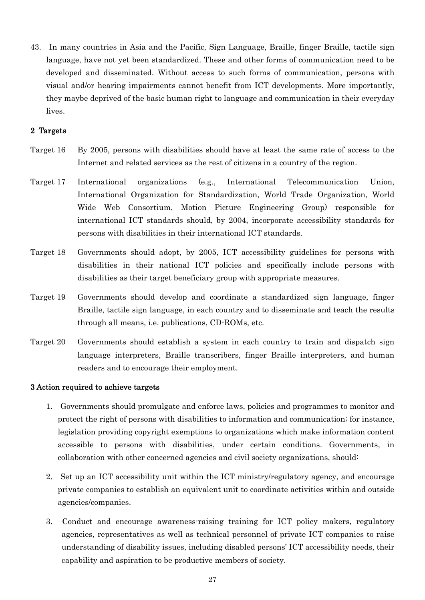43. In many countries in Asia and the Pacific, Sign Language, Braille, finger Braille, tactile sign language, have not yet been standardized. These and other forms of communication need to be developed and disseminated. Without access to such forms of communication, persons with visual and/or hearing impairments cannot benefit from ICT developments. More importantly, they maybe deprived of the basic human right to language and communication in their everyday lives.

#### 2 Targets

- Target 16 By 2005, persons with disabilities should have at least the same rate of access to the Internet and related services as the rest of citizens in a country of the region.
- Target 17 International organizations (e.g., International Telecommunication Union, International Organization for Standardization, World Trade Organization, World Wide Web Consortium, Motion Picture Engineering Group) responsible for international ICT standards should, by 2004, incorporate accessibility standards for persons with disabilities in their international ICT standards.
- Target 18 Governments should adopt, by 2005, ICT accessibility guidelines for persons with disabilities in their national ICT policies and specifically include persons with disabilities as their target beneficiary group with appropriate measures.
- Target 19 Governments should develop and coordinate a standardized sign language, finger Braille, tactile sign language, in each country and to disseminate and teach the results through all means, i.e. publications, CD-ROMs, etc.
- Target 20 Governments should establish a system in each country to train and dispatch sign language interpreters, Braille transcribers, finger Braille interpreters, and human readers and to encourage their employment.

#### 3 Action required to achieve targets

- 1. Governments should promulgate and enforce laws, policies and programmes to monitor and protect the right of persons with disabilities to information and communication; for instance, legislation providing copyright exemptions to organizations which make information content accessible to persons with disabilities, under certain conditions. Governments, in collaboration with other concerned agencies and civil society organizations, should:
- 2. Set up an ICT accessibility unit within the ICT ministry/regulatory agency, and encourage private companies to establish an equivalent unit to coordinate activities within and outside agencies/companies.
- 3. Conduct and encourage awareness-raising training for ICT policy makers, regulatory agencies, representatives as well as technical personnel of private ICT companies to raise understanding of disability issues, including disabled persons' ICT accessibility needs, their capability and aspiration to be productive members of society.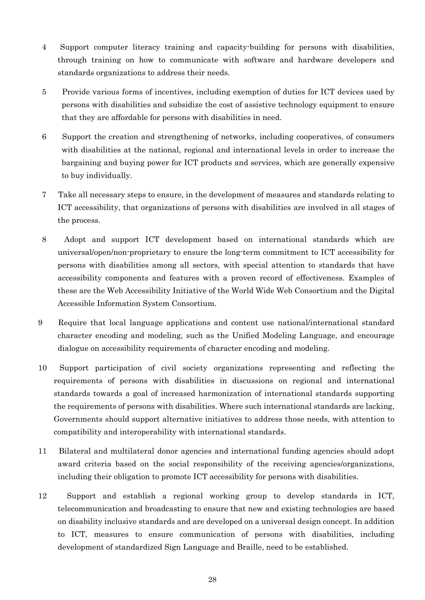- 4 Support computer literacy training and capacity-building for persons with disabilities, through training on how to communicate with software and hardware developers and standards organizations to address their needs.
- 5 Provide various forms of incentives, including exemption of duties for ICT devices used by persons with disabilities and subsidize the cost of assistive technology equipment to ensure that they are affordable for persons with disabilities in need.
- 6 Support the creation and strengthening of networks, including cooperatives, of consumers with disabilities at the national, regional and international levels in order to increase the bargaining and buying power for ICT products and services, which are generally expensive to buy individually.
- 7 Take all necessary steps to ensure, in the development of measures and standards relating to ICT accessibility, that organizations of persons with disabilities are involved in all stages of the process.
- 8 Adopt and support ICT development based on international standards which are universal/open/non-proprietary to ensure the long-term commitment to ICT accessibility for persons with disabilities among all sectors, with special attention to standards that have accessibility components and features with a proven record of effectiveness. Examples of these are the Web Accessibility Initiative of the World Wide Web Consortium and the Digital Accessible Information System Consortium.
- 9 Require that local language applications and content use national/international standard character encoding and modeling, such as the Unified Modeling Language, and encourage dialogue on accessibility requirements of character encoding and modeling.
- 10 Support participation of civil society organizations representing and reflecting the requirements of persons with disabilities in discussions on regional and international standards towards a goal of increased harmonization of international standards supporting the requirements of persons with disabilities. Where such international standards are lacking, Governments should support alternative initiatives to address those needs, with attention to compatibility and interoperability with international standards.
- 11 Bilateral and multilateral donor agencies and international funding agencies should adopt award criteria based on the social responsibility of the receiving agencies/organizations, including their obligation to promote ICT accessibility for persons with disabilities.
- 12 Support and establish a regional working group to develop standards in ICT, telecommunication and broadcasting to ensure that new and existing technologies are based on disability inclusive standards and are developed on a universal design concept. In addition to ICT, measures to ensure communication of persons with disabilities, including development of standardized Sign Language and Braille, need to be established.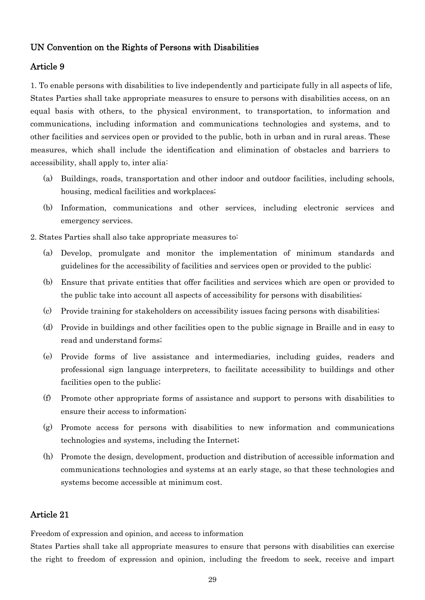#### <span id="page-28-0"></span>UN Convention on the Rights of Persons with Disabilities

#### Article 9

1. To enable persons with disabilities to live independently and participate fully in all aspects of life, States Parties shall take appropriate measures to ensure to persons with disabilities access, on an equal basis with others, to the physical environment, to transportation, to information and communications, including information and communications technologies and systems, and to other facilities and services open or provided to the public, both in urban and in rural areas. These measures, which shall include the identification and elimination of obstacles and barriers to accessibility, shall apply to, inter alia:

- (a) Buildings, roads, transportation and other indoor and outdoor facilities, including schools, housing, medical facilities and workplaces;
- (b) Information, communications and other services, including electronic services and emergency services.
- 2. States Parties shall also take appropriate measures to:
	- (a) Develop, promulgate and monitor the implementation of minimum standards and guidelines for the accessibility of facilities and services open or provided to the public;
	- (b) Ensure that private entities that offer facilities and services which are open or provided to the public take into account all aspects of accessibility for persons with disabilities;
	- (c) Provide training for stakeholders on accessibility issues facing persons with disabilities;
	- (d) Provide in buildings and other facilities open to the public signage in Braille and in easy to read and understand forms;
	- (e) Provide forms of live assistance and intermediaries, including guides, readers and professional sign language interpreters, to facilitate accessibility to buildings and other facilities open to the public;
	- (f) Promote other appropriate forms of assistance and support to persons with disabilities to ensure their access to information;
	- (g) Promote access for persons with disabilities to new information and communications technologies and systems, including the Internet;
	- (h) Promote the design, development, production and distribution of accessible information and communications technologies and systems at an early stage, so that these technologies and systems become accessible at minimum cost.

#### Article 21

Freedom of expression and opinion, and access to information

States Parties shall take all appropriate measures to ensure that persons with disabilities can exercise the right to freedom of expression and opinion, including the freedom to seek, receive and impart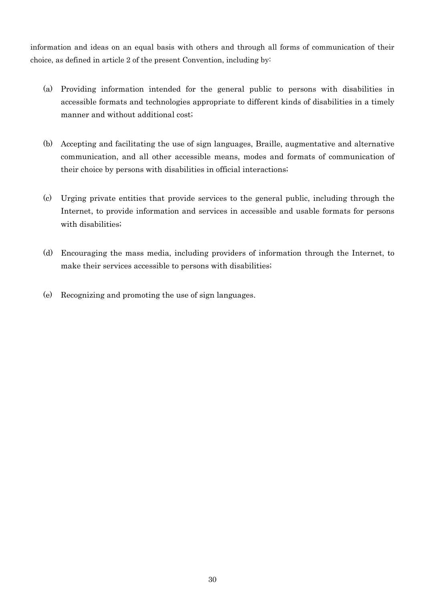information and ideas on an equal basis with others and through all forms of communication of their choice, as defined in article 2 of the present Convention, including by:

- (a) Providing information intended for the general public to persons with disabilities in accessible formats and technologies appropriate to different kinds of disabilities in a timely manner and without additional cost;
- (b) Accepting and facilitating the use of sign languages, Braille, augmentative and alternative communication, and all other accessible means, modes and formats of communication of their choice by persons with disabilities in official interactions;
- (c) Urging private entities that provide services to the general public, including through the Internet, to provide information and services in accessible and usable formats for persons with disabilities;
- (d) Encouraging the mass media, including providers of information through the Internet, to make their services accessible to persons with disabilities;
- (e) Recognizing and promoting the use of sign languages.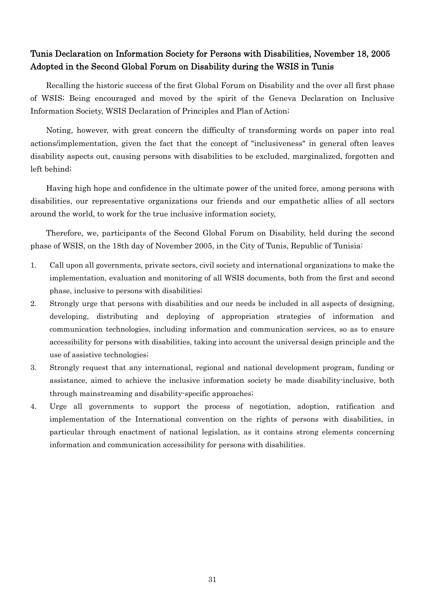#### <span id="page-30-0"></span>Tunis Declaration on Information Society for Persons with Disabilities, November 18, 2005 Adopted in the Second Global Forum on Disability during the WSIS in Tunis

Recalling the historic success of the first Global Forum on Disability and the over all first phase of WSIS; Being encouraged and moved by the spirit of the Geneva Declaration on Inclusive Information Society, WSIS Declaration of Principles and Plan of Action;

Noting, however, with great concern the difficulty of transforming words on paper into real actions/implementation, given the fact that the concept of "inclusiveness" in general often leaves disability aspects out, causing persons with disabilities to be excluded, marginalized, forgotten and left behind;

Having high hope and confidence in the ultimate power of the united force, among persons with disabilities, our representative organizations our friends and our empathetic allies of all sectors around the world, to work for the true inclusive information society,

Therefore, we, participants of the Second Global Forum on Disability, held during the second phase of WSIS, on the 18th day of November 2005, in the City of Tunis, Republic of Tunisia:

- 1. Call upon all governments, private sectors, civil society and international organizations to make the implementation, evaluation and monitoring of all WSIS documents, both from the first and second phase, inclusive to persons with disabilities;
- 2. Strongly urge that persons with disabilities and our needs be included in all aspects of designing, developing, distributing and deploying of appropriation strategies of information and communication technologies, including information and communication services, so as to ensure accessibility for persons with disabilities, taking into account the universal design principle and the use of assistive technologies;
- 3. Strongly request that any international, regional and national development program, funding or assistance, aimed to achieve the inclusive information society be made disability-inclusive, both through mainstreaming and disability-specific approaches;
- 4. Urge all governments to support the process of negotiation, adoption, ratification and implementation of the International convention on the rights of persons with disabilities, in particular through enactment of national legislation, as it contains strong elements concerning information and communication accessibility for persons with disabilities.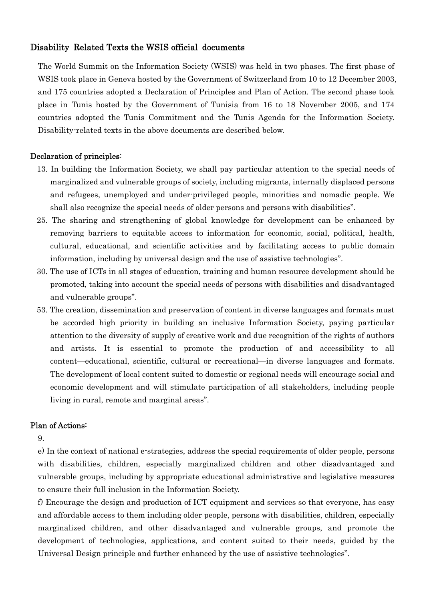#### <span id="page-31-0"></span>Disability Related Texts the WSIS official documents

The World Summit on the Information Society (WSIS) was held in two phases. The first phase of WSIS took place in Geneva hosted by the Government of Switzerland from 10 to 12 December 2003, and 175 countries adopted a Declaration of Principles and Plan of Action. The second phase took place in Tunis hosted by the Government of Tunisia from 16 to 18 November 2005, and 174 countries adopted the Tunis Commitment and the Tunis Agenda for the Information Society. Disability-related texts in the above documents are described below.

#### Declaration of principles:

- 13. In building the Information Society, we shall pay particular attention to the special needs of marginalized and vulnerable groups of society, including migrants, internally displaced persons and refugees, unemployed and under-privileged people, minorities and nomadic people. We shall also recognize the special needs of older persons and persons with disabilities".
- 25. The sharing and strengthening of global knowledge for development can be enhanced by removing barriers to equitable access to information for economic, social, political, health, cultural, educational, and scientific activities and by facilitating access to public domain information, including by universal design and the use of assistive technologies".
- 30. The use of ICTs in all stages of education, training and human resource development should be promoted, taking into account the special needs of persons with disabilities and disadvantaged and vulnerable groups".
- 53. The creation, dissemination and preservation of content in diverse languages and formats must be accorded high priority in building an inclusive Information Society, paying particular attention to the diversity of supply of creative work and due recognition of the rights of authors and artists. It is essential to promote the production of and accessibility to all content—educational, scientific, cultural or recreational—in diverse languages and formats. The development of local content suited to domestic or regional needs will encourage social and economic development and will stimulate participation of all stakeholders, including people living in rural, remote and marginal areas".

#### Plan of Actions:

9.

e) In the context of national e-strategies, address the special requirements of older people, persons with disabilities, children, especially marginalized children and other disadvantaged and vulnerable groups, including by appropriate educational administrative and legislative measures to ensure their full inclusion in the Information Society.

f) Encourage the design and production of ICT equipment and services so that everyone, has easy and affordable access to them including older people, persons with disabilities, children, especially marginalized children, and other disadvantaged and vulnerable groups, and promote the development of technologies, applications, and content suited to their needs, guided by the Universal Design principle and further enhanced by the use of assistive technologies".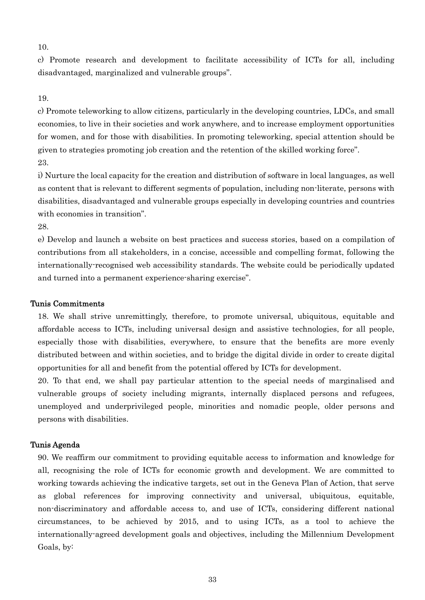10.

c) Promote research and development to facilitate accessibility of ICTs for all, including disadvantaged, marginalized and vulnerable groups".

#### 19.

c) Promote teleworking to allow citizens, particularly in the developing countries, LDCs, and small economies, to live in their societies and work anywhere, and to increase employment opportunities for women, and for those with disabilities. In promoting teleworking, special attention should be given to strategies promoting job creation and the retention of the skilled working force". 23.

i) Nurture the local capacity for the creation and distribution of software in local languages, as well as content that is relevant to different segments of population, including non-literate, persons with disabilities, disadvantaged and vulnerable groups especially in developing countries and countries with economies in transition".

28.

e) Develop and launch a website on best practices and success stories, based on a compilation of contributions from all stakeholders, in a concise, accessible and compelling format, following the internationally-recognised web accessibility standards. The website could be periodically updated and turned into a permanent experience-sharing exercise".

#### Tunis Commitments

18. We shall strive unremittingly, therefore, to promote universal, ubiquitous, equitable and affordable access to ICTs, including universal design and assistive technologies, for all people, especially those with disabilities, everywhere, to ensure that the benefits are more evenly distributed between and within societies, and to bridge the digital divide in order to create digital opportunities for all and benefit from the potential offered by ICTs for development.

20. To that end, we shall pay particular attention to the special needs of marginalised and vulnerable groups of society including migrants, internally displaced persons and refugees, unemployed and underprivileged people, minorities and nomadic people, older persons and persons with disabilities.

#### Tunis Agenda

90. We reaffirm our commitment to providing equitable access to information and knowledge for all, recognising the role of ICTs for economic growth and development. We are committed to working towards achieving the indicative targets, set out in the Geneva Plan of Action, that serve as global references for improving connectivity and universal, ubiquitous, equitable, non-discriminatory and affordable access to, and use of ICTs, considering different national circumstances, to be achieved by 2015, and to using ICTs, as a tool to achieve the internationally-agreed development goals and objectives, including the Millennium Development Goals, by: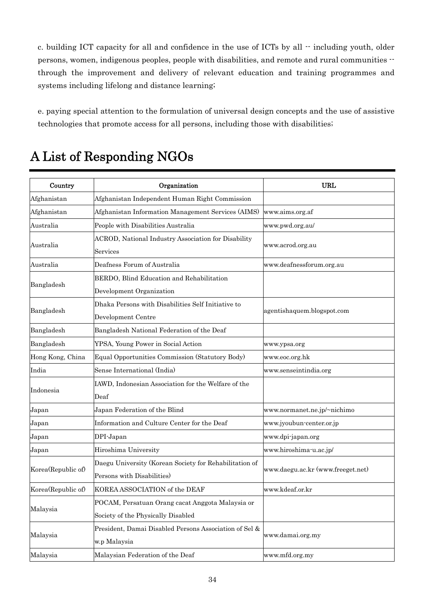<span id="page-33-0"></span>c. building ICT capacity for all and confidence in the use of ICTs by all  $\cdot$  including youth, older persons, women, indigenous peoples, people with disabilities, and remote and rural communities - through the improvement and delivery of relevant education and training programmes and systems including lifelong and distance learning;

e. paying special attention to the formulation of universal design concepts and the use of assistive technologies that promote access for all persons, including those with disabilities;

| Country            | Organization                                                                           | <b>URL</b>                        |
|--------------------|----------------------------------------------------------------------------------------|-----------------------------------|
| Afghanistan        | Afghanistan Independent Human Right Commission                                         |                                   |
| Afghanistan        | Afghanistan Information Management Services (AIMS)                                     | www.aims.org.af                   |
| Australia          | People with Disabilities Australia                                                     | www.pwd.org.au/                   |
| Australia          | ACROD, National Industry Association for Disability<br>Services                        | www.acrod.org.au                  |
| Australia          | Deafness Forum of Australia                                                            | www.deafnessforum.org.au          |
| Bangladesh         | BERDO, Blind Education and Rehabilitation<br>Development Organization                  |                                   |
| Bangladesh         | Dhaka Persons with Disabilities Self Initiative to<br>Development Centre               | agentishaquem.blogspot.com        |
| Bangladesh         | Bangladesh National Federation of the Deaf                                             |                                   |
| Bangladesh         | YPSA, Young Power in Social Action                                                     | www.ypsa.org                      |
| Hong Kong, China   | Equal Opportunities Commission (Statutory Body)                                        | www.eoc.org.hk                    |
| India              | Sense International (India)                                                            | www.senseintindia.org             |
| Indonesia          | IAWD, Indonesian Association for the Welfare of the<br>$\mathrm{Deaf}$                 |                                   |
| Japan              | Japan Federation of the Blind                                                          | www.normanet.ne.jp/~nichimo       |
| Japan              | Information and Culture Center for the Deaf                                            | www.jyoubun-center.or.jp          |
| Japan              | DPI-Japan                                                                              | www.dpi-japan.org                 |
| Japan              | Hiroshima University                                                                   | www.hiroshima-u.ac.jp/            |
| Korea(Republic of) | Daegu University (Korean Society for Rehabilitation of<br>Persons with Disabilities)   | www.daegu.ac.kr (www.freeget.net) |
| Korea(Republic of) | KOREA ASSOCIATION of the DEAF                                                          | www.kdeaf.or.kr                   |
| Malaysia           | POCAM, Persatuan Orang cacat Anggota Malaysia or<br>Society of the Physically Disabled |                                   |
| Malaysia           | President, Damai Disabled Persons Association of Sel &<br>w.p Malaysia                 | www.damai.org.my                  |
| Malaysia           | Malaysian Federation of the Deaf                                                       | www.mfd.org.my                    |

# A List of Responding NGOs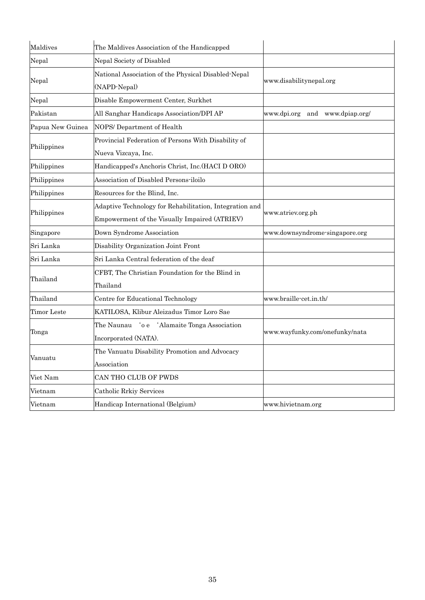| Maldives           | The Maldives Association of the Handicapped                                                              |                                |
|--------------------|----------------------------------------------------------------------------------------------------------|--------------------------------|
| Nepal              | Nepal Society of Disabled                                                                                |                                |
| Nepal              | National Association of the Physical Disabled Nepal<br>(NAPD-Nepal)                                      | www.disabilitynepal.org        |
| Nepal              | Disable Empowerment Center, Surkhet                                                                      |                                |
| Pakistan           | All Sanghar Handicaps Association/DPI AP                                                                 | www.dpi.org and www.dpiap.org/ |
| Papua New Guinea   | NOPS/ Department of Health                                                                               |                                |
| Philippines        | Provincial Federation of Persons With Disability of<br>Nueva Vizcaya, Inc.                               |                                |
| Philippines        | Handicapped's Anchoris Christ, Inc. (HACI D ORO)                                                         |                                |
| Philippines        | Association of Disabled Persons-iloilo                                                                   |                                |
| Philippines        | Resources for the Blind, Inc.                                                                            |                                |
| Philippines        | Adaptive Technology for Rehabilitation, Integration and<br>Empowerment of the Visually Impaired (ATRIEV) | www.atriev.org.ph              |
| Singapore          | Down Syndrome Association                                                                                | www.downsyndrome-singapore.org |
| Sri Lanka          | Disability Organization Joint Front                                                                      |                                |
| Sri Lanka          | Sri Lanka Central federation of the deaf                                                                 |                                |
| Thailand           | CFBT, The Christian Foundation for the Blind in<br>Thailand                                              |                                |
| Thailand           | Centre for Educational Technology                                                                        | www.braille-cet.in.th/         |
| <b>Timor</b> Leste | KATILOSA, Klibur Aleizadus Timor Loro Sae                                                                |                                |
| Tonga              | The Naunau 'o e 'Alamaite Tonga Association<br>Incorporated (NATA).                                      | www.wayfunky.com/onefunky/nata |
| Vanuatu            | The Vanuatu Disability Promotion and Advocacy<br>Association                                             |                                |
| Viet Nam           | CAN THO CLUB OF PWDS                                                                                     |                                |
| Vietnam            | Catholic Rrkiy Services                                                                                  |                                |
| Vietnam            | Handicap International (Belgium)                                                                         | www.hivietnam.org              |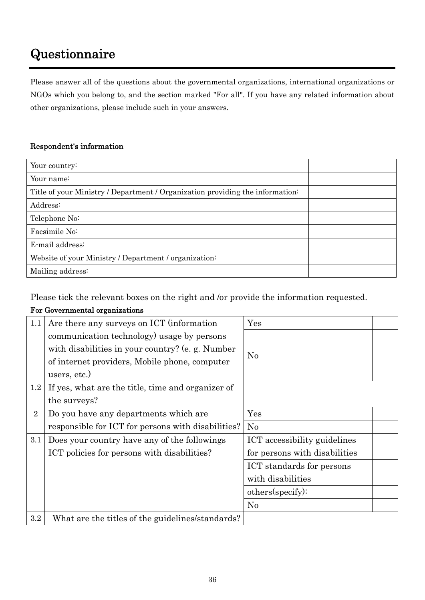# <span id="page-35-0"></span>Questionnaire

Please answer all of the questions about the governmental organizations, international organizations or NGOs which you belong to, and the section marked "For all". If you have any related information about other organizations, please include such in your answers.

#### Respondent's information

| Your country:                                                                 |  |
|-------------------------------------------------------------------------------|--|
| Your name:                                                                    |  |
| Title of your Ministry / Department / Organization providing the information: |  |
| Address:                                                                      |  |
| Telephone No:                                                                 |  |
| Facsimile No:                                                                 |  |
| E-mail address:                                                               |  |
| Website of your Ministry / Department / organization:                         |  |
| Mailing address:                                                              |  |

Please tick the relevant boxes on the right and /or provide the information requested.

#### For Governmental organizations

| 1.1            | Are there any surveys on ICT (information          | $\gamma_{\rm es}$             |  |
|----------------|----------------------------------------------------|-------------------------------|--|
|                | communication technology) usage by persons         |                               |  |
|                | with disabilities in your country? (e.g. Number    |                               |  |
|                | of internet providers, Mobile phone, computer      | $\rm No$                      |  |
|                | users, etc.)                                       |                               |  |
| $1.2\,$        | If yes, what are the title, time and organizer of  |                               |  |
|                | the surveys?                                       |                               |  |
| $\overline{2}$ | Do you have any departments which are              | $\operatorname{Yes}$          |  |
|                | responsible for ICT for persons with disabilities? | No                            |  |
| 3.1            | Does your country have any of the followings       | ICT accessibility guidelines  |  |
|                | ICT policies for persons with disabilities?        | for persons with disabilities |  |
|                |                                                    | ICT standards for persons     |  |
|                |                                                    | with disabilities             |  |
|                |                                                    | others(specify):              |  |
|                |                                                    | No                            |  |
| 3.2            | What are the titles of the guidelines/standards?   |                               |  |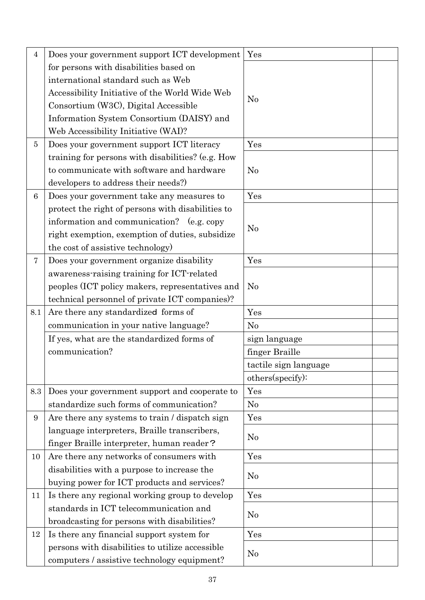| $\overline{4}$  | Does your government support ICT development      | Yes                   |  |
|-----------------|---------------------------------------------------|-----------------------|--|
|                 | for persons with disabilities based on            |                       |  |
|                 | international standard such as Web                |                       |  |
|                 | Accessibility Initiative of the World Wide Web    |                       |  |
|                 | Consortium (W3C), Digital Accessible              | No                    |  |
|                 | Information System Consortium (DAISY) and         |                       |  |
|                 | Web Accessibility Initiative (WAI)?               |                       |  |
| 5               | Does your government support ICT literacy         | Yes                   |  |
|                 | training for persons with disabilities? (e.g. How |                       |  |
|                 | to communicate with software and hardware         | No                    |  |
|                 | developers to address their needs?)               |                       |  |
| $6\phantom{1}6$ | Does your government take any measures to         | Yes                   |  |
|                 | protect the right of persons with disabilities to |                       |  |
|                 | information and communication? (e.g. copy         | No                    |  |
|                 | right exemption, exemption of duties, subsidize   |                       |  |
|                 | the cost of assistive technology)                 |                       |  |
| $\overline{7}$  | Does your government organize disability          | Yes                   |  |
|                 | awareness-raising training for ICT-related        |                       |  |
|                 | peoples (ICT policy makers, representatives and   | No                    |  |
|                 | technical personnel of private ICT companies)?    |                       |  |
|                 |                                                   |                       |  |
| 8.1             | Are there any standardized forms of               | Yes                   |  |
|                 | communication in your native language?            | No                    |  |
|                 | If yes, what are the standardized forms of        | sign language         |  |
|                 | communication?                                    | finger Braille        |  |
|                 |                                                   | tactile sign language |  |
|                 |                                                   | others(specify):      |  |
| 8.3             | Does your government support and cooperate to     | Yes                   |  |
|                 | standardize such forms of communication?          | No                    |  |
| $9\phantom{.0}$ | Are there any systems to train / dispatch sign    | Yes                   |  |
|                 | language interpreters, Braille transcribers,      |                       |  |
|                 | finger Braille interpreter, human reader?         | No                    |  |
| 10              | Are there any networks of consumers with          | Yes                   |  |
|                 | disabilities with a purpose to increase the       |                       |  |
|                 | buying power for ICT products and services?       | No                    |  |
| 11              | Is there any regional working group to develop    | Yes                   |  |
|                 | standards in ICT telecommunication and            |                       |  |
|                 | broadcasting for persons with disabilities?       | No                    |  |
| 12              | Is there any financial support system for         | Yes                   |  |
|                 | persons with disabilities to utilize accessible   | No                    |  |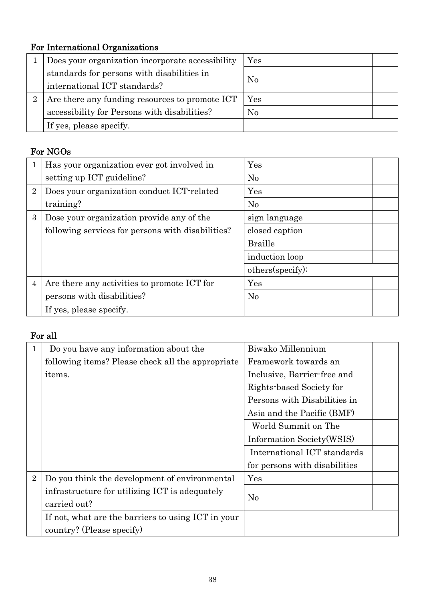# For International Organizations

|   | Does your organization incorporate accessibility | $\operatorname{Yes}$ |  |
|---|--------------------------------------------------|----------------------|--|
|   | standards for persons with disabilities in       |                      |  |
|   | international ICT standards?                     | $\rm No$             |  |
| 2 | Are there any funding resources to promote ICT   | Yes                  |  |
|   | accessibility for Persons with disabilities?     | No                   |  |
|   | If yes, please specify.                          |                      |  |

#### For NGOs

| 1              | Has your organization ever got involved in        | Yes              |  |
|----------------|---------------------------------------------------|------------------|--|
|                | setting up ICT guideline?                         | No               |  |
| $\overline{2}$ | Does your organization conduct ICT-related        | Yes              |  |
|                | training?                                         | No               |  |
| 3              | Dose your organization provide any of the         | sign language    |  |
|                | following services for persons with disabilities? | closed caption   |  |
|                |                                                   | <b>Braille</b>   |  |
|                |                                                   | induction loop   |  |
|                |                                                   | others(specify): |  |
| $\overline{4}$ | Are there any activities to promote ICT for       | Yes              |  |
|                | persons with disabilities?                        | No               |  |
|                | If yes, please specify.                           |                  |  |

### For all

| 1              | Do you have any information about the              | Biwako Millennium             |
|----------------|----------------------------------------------------|-------------------------------|
|                | following items? Please check all the appropriate  | Framework towards an          |
|                | items.                                             | Inclusive, Barrier-free and   |
|                |                                                    | Rights-based Society for      |
|                |                                                    | Persons with Disabilities in  |
|                |                                                    | Asia and the Pacific (BMF)    |
|                |                                                    | World Summit on The           |
|                |                                                    | Information Society (WSIS)    |
|                |                                                    | International ICT standards   |
|                |                                                    | for persons with disabilities |
| $\overline{2}$ | Do you think the development of environmental      | $\operatorname{Yes}$          |
|                | infrastructure for utilizing ICT is adequately     |                               |
|                | carried out?                                       | No                            |
|                | If not, what are the barriers to using ICT in your |                               |
|                | country? (Please specify)                          |                               |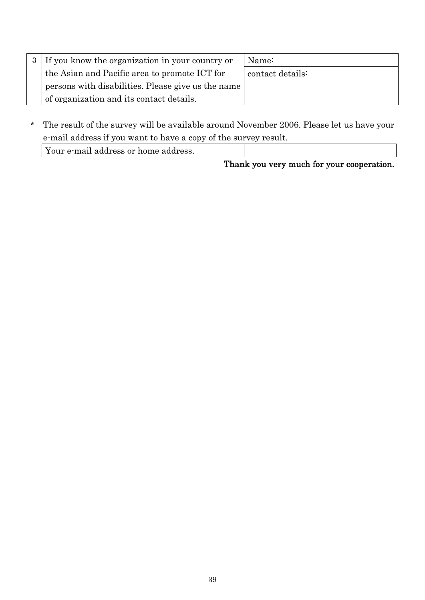| 3 If you know the organization in your country or  | Name:            |
|----------------------------------------------------|------------------|
| the Asian and Pacific area to promote ICT for      | contact details: |
| persons with disabilities. Please give us the name |                  |
| of organization and its contact details.           |                  |

\* The result of the survey will be available around November 2006. Please let us have your e-mail address if you want to have a copy of the survey result.

| Your e-mail address or home address. |  |
|--------------------------------------|--|
|                                      |  |

Thank you very much for your cooperation.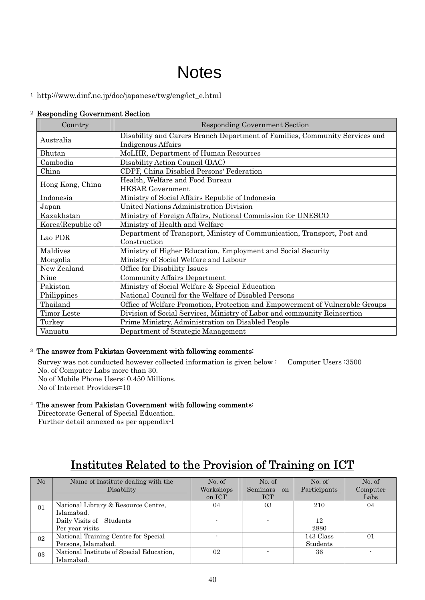# **Notes**

<span id="page-39-1"></span><span id="page-39-0"></span>1 http://www.dinf.ne.jp/doc/japanese/twg/eng/ict\_e.html

#### <sup>2</sup> Responding Government Section

| Country            | <b>Responding Government Section</b>                                         |  |  |  |
|--------------------|------------------------------------------------------------------------------|--|--|--|
| Australia          | Disability and Carers Branch Department of Families, Community Services and  |  |  |  |
|                    | Indigenous Affairs                                                           |  |  |  |
| Bhutan             | MoLHR, Department of Human Resources                                         |  |  |  |
| Cambodia           | Disability Action Council (DAC)                                              |  |  |  |
| China              | CDPF, China Disabled Persons' Federation                                     |  |  |  |
|                    | Health, Welfare and Food Bureau                                              |  |  |  |
| Hong Kong, China   | <b>HKSAR</b> Government                                                      |  |  |  |
| Indonesia          | Ministry of Social Affairs Republic of Indonesia                             |  |  |  |
| Japan              | United Nations Administration Division                                       |  |  |  |
| Kazakhstan         | Ministry of Foreign Affairs, National Commission for UNESCO                  |  |  |  |
| Korea(Republic of) | Ministry of Health and Welfare                                               |  |  |  |
| Lao PDR            | Department of Transport, Ministry of Communication, Transport, Post and      |  |  |  |
|                    | Construction                                                                 |  |  |  |
| Maldives           | Ministry of Higher Education, Employment and Social Security                 |  |  |  |
| Mongolia           | Ministry of Social Welfare and Labour                                        |  |  |  |
| New Zealand        | Office for Disability Issues                                                 |  |  |  |
| Niue               | <b>Community Affairs Department</b>                                          |  |  |  |
| Pakistan           | Ministry of Social Welfare & Special Education                               |  |  |  |
| Philippines        | National Council for the Welfare of Disabled Persons                         |  |  |  |
| Thailand           | Office of Welfare Promotion, Protection and Empowerment of Vulnerable Groups |  |  |  |
| Timor Leste        | Division of Social Services, Ministry of Labor and community Reinsertion     |  |  |  |
| Turkey             | Prime Ministry, Administration on Disabled People                            |  |  |  |
| Vanuatu            | Department of Strategic Management                                           |  |  |  |

#### 3 The answer from Pakistan Government with following comments:

Survey was not conducted however collected information is given below : Computer Users :3500 No. of Computer Labs more than 30.

No of Mobile Phone Users: 0.450 Millions. No of Internet Providers=10

#### <sup>4</sup> The answer from Pakistan Government with following comments:

Directorate General of Special Education.

Further detail annexed as per appendix-I

# Institutes Related to the Provision of Training on ICT

| No | Name of Institute dealing with the<br>Disability                                                 | No. of<br>Workshops<br>on ICT | No. of<br>Seminars on<br><b>ICT</b> | No. of<br>Participants | No. of<br>Computer<br>Labs |
|----|--------------------------------------------------------------------------------------------------|-------------------------------|-------------------------------------|------------------------|----------------------------|
| 01 | National Library & Resource Centre,<br>Islamabad.<br>Daily Visits of Students<br>Per year visits | 04                            | 03                                  | 210<br>12<br>2880      | 04                         |
| 02 | National Training Centre for Special<br>Persons, Islamabad.                                      |                               |                                     | 143 Class<br>Students  | 01                         |
| 03 | National Institute of Special Education,<br>Islamabad.                                           | 02                            |                                     | 36                     |                            |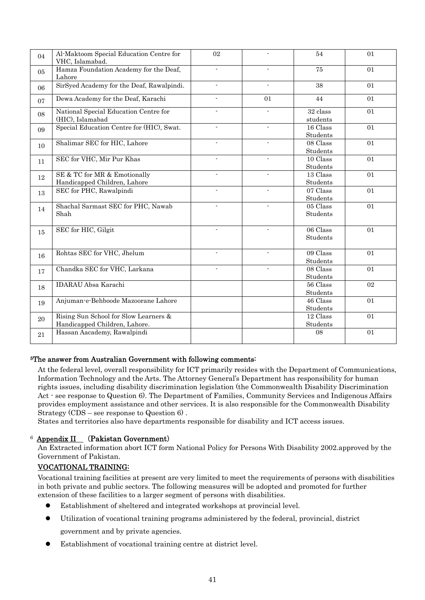<span id="page-40-0"></span>

| 04 | Al-Maktoom Special Education Centre for<br>VHC, Islamabad.             | 02             |                | 54                   | 01 |
|----|------------------------------------------------------------------------|----------------|----------------|----------------------|----|
| 05 | Hamza Foundation Academy for the Deaf,<br>Lahore                       |                | $\blacksquare$ | 75                   | 01 |
| 06 | SirSyed Academy for the Deaf, Rawalpindi.                              | $\blacksquare$ | $\blacksquare$ | 38                   | 01 |
| 07 | Dewa Academy for the Deaf, Karachi                                     | $\blacksquare$ | 01             | 44                   | 01 |
| 08 | National Special Education Centre for<br>(HIC), Islamabad              |                |                | 32 class<br>students | 01 |
| 09 | Special Education Centre for (HIC), Swat.                              |                |                | 16 Class<br>Students | 01 |
| 10 | Shalimar SEC for HIC, Lahore                                           |                |                | 08 Class<br>Students | 01 |
| 11 | SEC for VHC, Mir Pur Khas                                              |                |                | 10 Class<br>Students | 01 |
| 12 | SE & TC for MR & Emotionally<br>Handicapped Children, Lahore           |                |                | 13 Class<br>Students | 01 |
| 13 | SEC for PHC, Rawalpindi                                                |                |                | 07 Class<br>Students | 01 |
| 14 | Shachal Sarmast SEC for PHC, Nawab<br>Shah                             |                |                | 05 Class<br>Students | 01 |
| 15 | SEC for HIC, Gilgit                                                    |                | $\overline{a}$ | 06 Class<br>Students | 01 |
| 16 | Rohtas SEC for VHC, Jhelum                                             |                | $\overline{a}$ | 09 Class<br>Students | 01 |
| 17 | Chandka SEC for VHC, Larkana                                           |                | $\overline{a}$ | 08 Class<br>Students | 01 |
| 18 | <b>IDARAU</b> Absa Karachi                                             |                |                | 56 Class<br>Students | 02 |
| 19 | Anjuman-e-Behboode Mazoorane Lahore                                    |                |                | 46 Class<br>Students | 01 |
| 20 | Rising Sun School for Slow Learners &<br>Handicapped Children, Lahore. |                |                | 12 Class<br>Students | 01 |
| 21 | Hassan Aacademy, Rawalpindi                                            |                |                | 08                   | 01 |

#### 5The answer from Australian Government with following comments:

At the federal level, overall responsibility for ICT primarily resides with the Department of Communications, Information Technology and the Arts. The Attorney General's Department has responsibility for human rights issues, including disability discrimination legislation (the Commonwealth Disability Discrimination Act - see response to Question 6). The Department of Families, Community Services and Indigenous Affairs provides employment assistance and other services. It is also responsible for the Commonwealth Disability Strategy (CDS – see response to Question 6) .

States and territories also have departments responsible for disability and ICT access issues.

#### <sup>6</sup> Appendix II (Pakistan Government)

An Extracted information abort ICT form National Policy for Persons With Disability 2002.approved by the Government of Pakistan.

#### VOCATIONAL TRAINING:

Vocational training facilities at present are very limited to meet the requirements of persons with disabilities in both private and public sectors. The following measures will be adopted and promoted for further extension of these facilities to a larger segment of persons with disabilities.

- Establishment of sheltered and integrated workshops at provincial level.
- z Utilization of vocational training programs administered by the federal, provincial, district government and by private agencies.
- Establishment of vocational training centre at district level.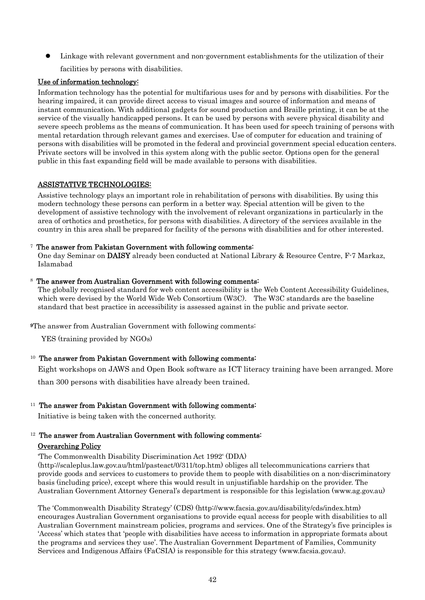<span id="page-41-0"></span>Linkage with relevant government and non-government establishments for the utilization of their facilities by persons with disabilities.

#### Use of information technology:

Information technology has the potential for multifarious uses for and by persons with disabilities. For the hearing impaired, it can provide direct access to visual images and source of information and means of instant communication. With additional gadgets for sound production and Braille printing, it can be at the service of the visually handicapped persons. It can be used by persons with severe physical disability and severe speech problems as the means of communication. It has been used for speech training of persons with mental retardation through relevant games and exercises. Use of computer for education and training of persons with disabilities will be promoted in the federal and provincial government special education centers. Private sectors will be involved in this system along with the public sector. Options open for the general public in this fast expanding field will be made available to persons with disabilities.

#### ASSISTATIVE TECHNOLOGIES:

Assistive technology plays an important role in rehabilitation of persons with disabilities. By using this modern technology these persons can perform in a better way. Special attention will be given to the development of assistive technology with the involvement of relevant organizations in particularly in the area of orthotics and prosthetics, for persons with disabilities. A directory of the services available in the country in this area shall be prepared for facility of the persons with disabilities and for other interested.

#### <sup>7</sup> The answer from Pakistan Government with following comments:

One day Seminar on DAISY already been conducted at National Library & Resource Centre, F-7 Markaz, Islamabad

#### The answer from Australian Government with following comments:

The globally recognised standard for web content accessibility is the Web Content Accessibility Guidelines, which were devised by the World Wide Web Consortium (W3C). The W3C standards are the baseline standard that best practice in accessibility is assessed against in the public and private sector.

9The answer from Australian Government with following comments:

YES (training provided by NGOs)

#### <sup>10</sup> The answer from Pakistan Government with following comments:

Eight workshops on JAWS and Open Book software as ICT literacy training have been arranged. More

than 300 persons with disabilities have already been trained.

#### <sup>11</sup> The answer from Pakistan Government with following comments:

Initiative is being taken with the concerned authority.

#### <sup>12</sup> The answer from Australian Government with following comments: Overarching Policy

'The [Commonwealth Disability Discrimination Act 1992](http://scaleplus.law.gov.au/html/pasteact/0/311/top.htm)' (DDA)

[\(http://scaleplus.law.gov.au/html/pasteact/0/311/top.htm](http://scaleplus.law.gov.au/html/pasteact/0/311/top.htm)) obliges all telecommunications carriers that provide goods and services to customers to provide them to people with disabilities on a non-discriminatory basis (including price), except where this would result in unjustifiable hardship on the provider. The Australian Government Attorney General's department is responsible for this legislation [\(www.ag.gov.au](http://www.ag.gov.au/))

The 'Commonwealth Disability Strategy' (CDS) [\(http://www.facsia.gov.au/disability/cds/index.htm\)](http://www.facsia.gov.au/disability/cds/index.htm) encourages Australian Government organisations to provide equal access for people with disabilities to all Australian Government mainstream policies, programs and services. One of the Strategy's five principles is 'Access' which states that 'people with disabilities have access to information in appropriate formats about the programs and services they use'. The Australian Government Department of Families, Community Services and Indigenous Affairs (FaCSIA) is responsible for this strategy ([www.facsia.gov.au\)](http://www.facsia.gov.au/).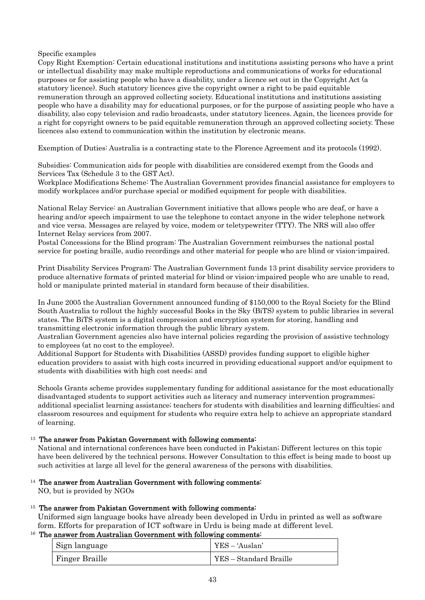#### <span id="page-42-0"></span>Specific examples

Copy Right Exemption: Certain educational institutions and institutions assisting persons who have a print or intellectual disability may make multiple reproductions and communications of works for educational purposes or for assisting people who have a disability, under a licence set out in the Copyright Act (a statutory licence). Such statutory licences give the copyright owner a right to be paid equitable remuneration through an approved collecting society. Educational institutions and institutions assisting people who have a disability may for educational purposes, or for the purpose of assisting people who have a disability, also copy television and radio broadcasts, under statutory licences. Again, the licences provide for a right for copyright owners to be paid equitable remuneration through an approved collecting society. These licences also extend to communication within the institution by electronic means.

Exemption of Duties: Australia is a contracting state to the Florence Agreement and its protocols (1992).

Subsidies: Communication aids for people with disabilities are considered exempt from the Goods and Services Tax (Schedule 3 to the GST Act).

Workplace Modifications Scheme: The Australian Government provides financial assistance for employers to modify workplaces and/or purchase special or modified equipment for people with disabilities.

National Relay Service: an Australian Government initiative that allows people who are deaf, or have a hearing and/or speech impairment to use the telephone to contact anyone in the wider telephone network and vice versa. Messages are relayed by voice, modem or teletypewriter (TTY). The NRS will also offer Internet Relay services from 2007.

Postal Concessions for the Blind program: The Australian Government reimburses the national postal service for posting braille, audio recordings and other material for people who are blind or vision-impaired.

Print Disability Services Program: The Australian Government funds 13 print disability service providers to produce alternative formats of printed material for blind or vision-impaired people who are unable to read, hold or manipulate printed material in standard form because of their disabilities.

In June 2005 the Australian Government announced funding of \$150,000 to the Royal Society for the Blind South Australia to rollout the highly successful Books in the Sky (BiTS) system to public libraries in several states. The BiTS system is a digital compression and encryption system for storing, handling and transmitting electronic information through the public library system.

Australian Government agencies also have internal policies regarding the provision of assistive technology to employees (at no cost to the employee).

Additional Support for Students with Disabilities (ASSD) provides funding support to eligible higher education providers to assist with high costs incurred in providing educational support and/or equipment to students with disabilities with high cost needs; and

Schools Grants scheme provides supplementary funding for additional assistance for the most educationally disadvantaged students to support activities such as literacy and numeracy intervention programmes; additional specialist learning assistance; teachers for students with disabilities and learning difficulties; and classroom resources and equipment for students who require extra help to achieve an appropriate standard of learning.

#### <sup>13</sup> The answer from Pakistan Government with following comments:

National and international conferences have been conducted in Pakistan; Different lectures on this topic have been delivered by the technical persons. However Consultation to this effect is being made to boost up such activities at large all level for the general awareness of the persons with disabilities.

<sup>14</sup> The answer from Australian Government with following comments:

NO, but is provided by NGOs

#### <sup>15</sup> The answer from Pakistan Government with following comments:

Uniformed sign language books have already been developed in Urdu in printed as well as software form. Efforts for preparation of ICT software in Urdu is being made at different level.

#### <sup>16</sup> The answer from Australian Government with following comments:

| Sign language  | YES – 'Auslan'         |
|----------------|------------------------|
| Finger Braille | YES - Standard Braille |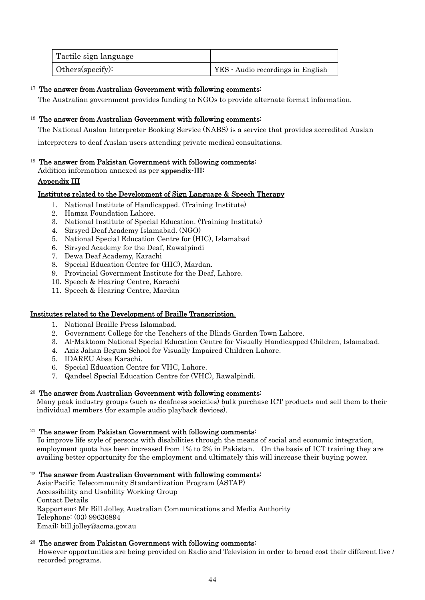<span id="page-43-0"></span>

| Tactile sign language |                                   |
|-----------------------|-----------------------------------|
| Others(specify):      | YES - Audio recordings in English |

#### <sup>17</sup> The answer from Australian Government with following comments:

The Australian government provides funding to NGOs to provide alternate format information.

#### <sup>18</sup> The answer from Australian Government with following comments:

The National Auslan Interpreter Booking Service (NABS) is a service that provides accredited Auslan

interpreters to deaf Auslan users attending private medical consultations.

#### <sup>19</sup> The answer from Pakistan Government with following comments:

Addition information annexed as per appendix-III:

#### Appendix III

#### Institutes related to the Development of Sign Language & Speech Therapy

- 1. National Institute of Handicapped. (Training Institute)
- 2. Hamza Foundation Lahore.
- 3. National Institute of Special Education. (Training Institute)
- 4. Sirsyed Deaf Academy Islamabad. (NGO)
- 5. National Special Education Centre for (HIC), Islamabad
- 6. Sirsyed Academy for the Deaf, Rawalpindi
- 7. Dewa Deaf Academy, Karachi
- 8. Special Education Centre for (HIC), Mardan.
- 9. Provincial Government Institute for the Deaf, Lahore.
- 10. Speech & Hearing Centre, Karachi
- 11. Speech & Hearing Centre, Mardan

#### Institutes related to the Development of Braille Transcription.

- 1. National Braille Press Islamabad.
- 2. Government College for the Teachers of the Blinds Garden Town Lahore.
- 3. Al-Maktoom National Special Education Centre for Visually Handicapped Children, Islamabad.
- 4. Aziz Jahan Begum School for Visually Impaired Children Lahore.
- 5. IDAREU Absa Karachi.
- 6. Special Education Centre for VHC, Lahore.
- 7. Qandeel Special Education Centre for (VHC), Rawalpindi.

#### <sup>20</sup> The answer from Australian Government with following comments:

Many peak industry groups (such as deafness societies) bulk purchase ICT products and sell them to their individual members (for example audio playback devices).

#### $21$  The answer from Pakistan Government with following comments:

To improve life style of persons with disabilities through the means of social and economic integration, employment quota has been increased from 1% to 2% in Pakistan. On the basis of ICT training they are availing better opportunity for the employment and ultimately this will increase their buying power.

#### $22$  The answer from Australian Government with following comments:

Asia-Pacific Telecommunity Standardization Program (ASTAP) Accessibility and Usability Working Group Contact Details Rapporteur: Mr Bill Jolley, Australian Communications and Media Authority Telephone: (03) 99636894 Email: bill.jolley@acma.gov.au

#### <sup>23</sup> The answer from Pakistan Government with following comments:

However opportunities are being provided on Radio and Television in order to broad cost their different live / recorded programs.